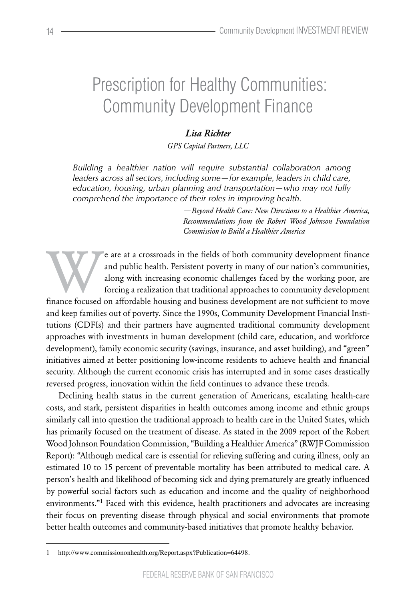# Prescription for Healthy Communities: Community Development Finance

# *Lisa Richter*

*GPS Capital Partners, LLC*

*Building a healthier nation will require substantial collaboration among leaders across all sectors, including some—for example, leaders in child care, education, housing, urban planning and transportation—who may not fully comprehend the importance of their roles in improving health.*

> *—Beyond Health Care: New Directions to a Healthier America, Recommendations from the Robert Wood Johnson Foundation Commission to Build a Healthier America*

Finance and public health. Persistent poverty in many of our nation's communities, along with increasing economic challenges faced by the working poor, are forcing a realization that traditional approaches to community dev and public health. Persistent poverty in many of our nation's communities, along with increasing economic challenges faced by the working poor, are forcing a realization that traditional approaches to community development

and keep families out of poverty. Since the 1990s, Community Development Financial Institutions (CDFIs) and their partners have augmented traditional community development approaches with investments in human development (child care, education, and workforce development), family economic security (savings, insurance, and asset building), and "green" initiatives aimed at better positioning low-income residents to achieve health and financial security. Although the current economic crisis has interrupted and in some cases drastically reversed progress, innovation within the field continues to advance these trends.

Declining health status in the current generation of Americans, escalating health-care costs, and stark, persistent disparities in health outcomes among income and ethnic groups similarly call into question the traditional approach to health care in the United States, which has primarily focused on the treatment of disease. As stated in the 2009 report of the Robert Wood Johnson Foundation Commission, "Building a Healthier America" (RWJF Commission Report): "Although medical care is essential for relieving suffering and curing illness, only an estimated 10 to 15 percent of preventable mortality has been attributed to medical care. A person's health and likelihood of becoming sick and dying prematurely are greatly influenced by powerful social factors such as education and income and the quality of neighborhood environments."<sup>1</sup> Faced with this evidence, health practitioners and advocates are increasing their focus on preventing disease through physical and social environments that promote better health outcomes and community-based initiatives that promote healthy behavior.

<sup>1</sup> http://www.commissiononhealth.org/Report.aspx?Publication=64498.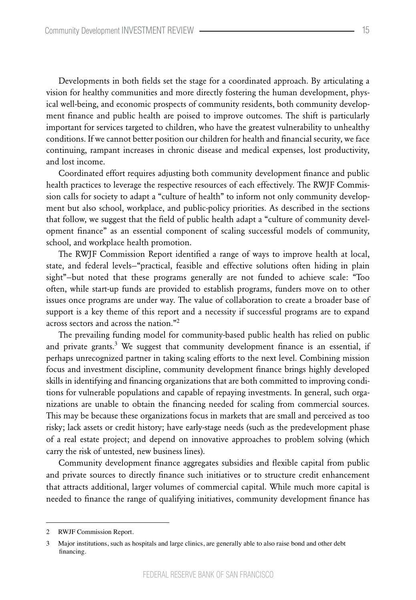Developments in both fields set the stage for a coordinated approach. By articulating a vision for healthy communities and more directly fostering the human development, physical well-being, and economic prospects of community residents, both community development finance and public health are poised to improve outcomes. The shift is particularly important for services targeted to children, who have the greatest vulnerability to unhealthy conditions. If we cannot better position our children for health and financial security, we face continuing, rampant increases in chronic disease and medical expenses, lost productivity, and lost income.

Coordinated effort requires adjusting both community development finance and public health practices to leverage the respective resources of each effectively. The RWJF Commission calls for society to adapt a "culture of health" to inform not only community development but also school, workplace, and public-policy priorities. As described in the sections that follow, we suggest that the field of public health adapt a "culture of community development finance" as an essential component of scaling successful models of community, school, and workplace health promotion.

The RWJF Commission Report identified a range of ways to improve health at local, state, and federal levels—"practical, feasible and effective solutions often hiding in plain sight"—but noted that these programs generally are not funded to achieve scale: "Too often, while start-up funds are provided to establish programs, funders move on to other issues once programs are under way. The value of collaboration to create a broader base of support is a key theme of this report and a necessity if successful programs are to expand across sectors and across the nation."<sup>2</sup>

The prevailing funding model for community-based public health has relied on public and private grants.<sup>3</sup> We suggest that community development finance is an essential, if perhaps unrecognized partner in taking scaling efforts to the next level. Combining mission focus and investment discipline, community development finance brings highly developed skills in identifying and financing organizations that are both committed to improving conditions for vulnerable populations and capable of repaying investments. In general, such organizations are unable to obtain the financing needed for scaling from commercial sources. This may be because these organizations focus in markets that are small and perceived as too risky; lack assets or credit history; have early-stage needs (such as the predevelopment phase of a real estate project; and depend on innovative approaches to problem solving (which carry the risk of untested, new business lines).

Community development finance aggregates subsidies and flexible capital from public and private sources to directly finance such initiatives or to structure credit enhancement that attracts additional, larger volumes of commercial capital. While much more capital is needed to finance the range of qualifying initiatives, community development finance has

<sup>2</sup> RWJF Commission Report.

<sup>3</sup> Major institutions, such as hospitals and large clinics, are generally able to also raise bond and other debt financing.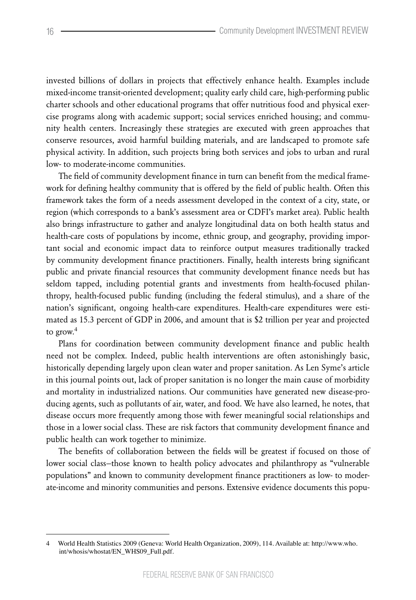invested billions of dollars in projects that effectively enhance health. Examples include mixed-income transit-oriented development; quality early child care, high-performing public charter schools and other educational programs that offer nutritious food and physical exercise programs along with academic support; social services enriched housing; and community health centers. Increasingly these strategies are executed with green approaches that conserve resources, avoid harmful building materials, and are landscaped to promote safe physical activity. In addition, such projects bring both services and jobs to urban and rural low- to moderate-income communities.

The field of community development finance in turn can benefit from the medical framework for defining healthy community that is offered by the field of public health. Often this framework takes the form of a needs assessment developed in the context of a city, state, or region (which corresponds to a bank's assessment area or CDFI's market area). Public health also brings infrastructure to gather and analyze longitudinal data on both health status and health-care costs of populations by income, ethnic group, and geography, providing important social and economic impact data to reinforce output measures traditionally tracked by community development finance practitioners. Finally, health interests bring significant public and private financial resources that community development finance needs but has seldom tapped, including potential grants and investments from health-focused philanthropy, health-focused public funding (including the federal stimulus), and a share of the nation's significant, ongoing health-care expenditures. Health-care expenditures were estimated as 15.3 percent of GDP in 2006, and amount that is \$2 trillion per year and projected to grow. $4$ 

Plans for coordination between community development finance and public health need not be complex. Indeed, public health interventions are often astonishingly basic, historically depending largely upon clean water and proper sanitation. As Len Syme's article in this journal points out, lack of proper sanitation is no longer the main cause of morbidity and mortality in industrialized nations. Our communities have generated new disease-producing agents, such as pollutants of air, water, and food. We have also learned, he notes, that disease occurs more frequently among those with fewer meaningful social relationships and those in a lower social class. These are risk factors that community development finance and public health can work together to minimize.

The benefits of collaboration between the fields will be greatest if focused on those of lower social class—those known to health policy advocates and philanthropy as "vulnerable populations" and known to community development finance practitioners as low- to moderate-income and minority communities and persons. Extensive evidence documents this popu-

<sup>4</sup> World Health Statistics 2009 (Geneva: World Health Organization, 2009), 114. Available at: http://www.who. int/whosis/whostat/EN\_WHS09\_Full.pdf.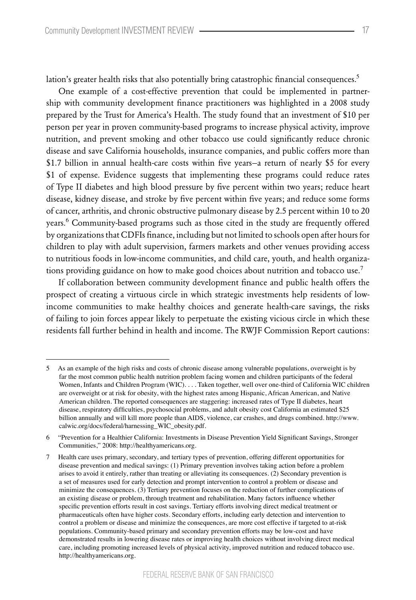One example of a cost-effective prevention that could be implemented in partnership with community development finance practitioners was highlighted in a 2008 study prepared by the Trust for America's Health. The study found that an investment of \$10 per person per year in proven community-based programs to increase physical activity, improve nutrition, and prevent smoking and other tobacco use could significantly reduce chronic disease and save California households, insurance companies, and public coffers more than \$1.7 billion in annual health-care costs within five years—a return of nearly \$5 for every \$1 of expense. Evidence suggests that implementing these programs could reduce rates of Type II diabetes and high blood pressure by five percent within two years; reduce heart disease, kidney disease, and stroke by five percent within five years; and reduce some forms of cancer, arthritis, and chronic obstructive pulmonary disease by 2.5 percent within 10 to 20 years.<sup>6</sup> Community-based programs such as those cited in the study are frequently offered by organizations that CDFIs finance, including but not limited to schools open after hours for children to play with adult supervision, farmers markets and other venues providing access to nutritious foods in low-income communities, and child care, youth, and health organizations providing guidance on how to make good choices about nutrition and tobacco use.<sup>7</sup>

If collaboration between community development finance and public health offers the prospect of creating a virtuous circle in which strategic investments help residents of lowincome communities to make healthy choices and generate health-care savings, the risks of failing to join forces appear likely to perpetuate the existing vicious circle in which these residents fall further behind in health and income. The RWJF Commission Report cautions:

<sup>5</sup> As an example of the high risks and costs of chronic disease among vulnerable populations, overweight is by far the most common public health nutrition problem facing women and children participants of the federal Women, Infants and Children Program (WIC). . . . Taken together, well over one-third of California WIC children are overweight or at risk for obesity, with the highest rates among Hispanic, African American, and Native American children. The reported consequences are staggering: increased rates of Type II diabetes, heart disease, respiratory difficulties, psychosocial problems, and adult obesity cost California an estimated \$25 billion annually and will kill more people than AIDS, violence, car crashes, and drugs combined. http://www. calwic.org/docs/federal/harnessing\_WIC\_obesity.pdf.

<sup>6 &</sup>quot;Prevention for a Healthier California: Investments in Disease Prevention Yield Significant Savings, Stronger Communities," 2008: http://healthyamericans.org.

<sup>7</sup> Health care uses primary, secondary, and tertiary types of prevention, offering different opportunities for disease prevention and medical savings: (1) Primary prevention involves taking action before a problem arises to avoid it entirely, rather than treating or alleviating its consequences. (2) Secondary prevention is a set of measures used for early detection and prompt intervention to control a problem or disease and minimize the consequences. (3) Tertiary prevention focuses on the reduction of further complications of an existing disease or problem, through treatment and rehabilitation. Many factors influence whether specific prevention efforts result in cost savings. Tertiary efforts involving direct medical treatment or pharmaceuticals often have higher costs. Secondary efforts, including early detection and intervention to control a problem or disease and minimize the consequences, are more cost effective if targeted to at-risk populations. Community-based primary and secondary prevention efforts may be low-cost and have demonstrated results in lowering disease rates or improving health choices without involving direct medical care, including promoting increased levels of physical activity, improved nutrition and reduced tobacco use. http://healthyamericans.org.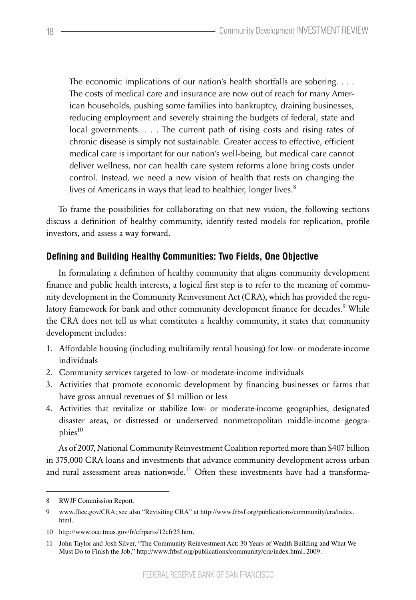The economic implications of our nation's health shortfalls are sobering. . . . The costs of medical care and insurance are now out of reach for many American households, pushing some families into bankruptcy, draining businesses, reducing employment and severely straining the budgets of federal, state and local governments. . . . The current path of rising costs and rising rates of chronic disease is simply not sustainable. Greater access to effective, efficient medical care is important for our nation's well-being, but medical care cannot deliver wellness, nor can health care system reforms alone bring costs under control. Instead, we need a new vision of health that rests on changing the lives of Americans in ways that lead to healthier, longer lives. $8$ 

To frame the possibilities for collaborating on that new vision, the following sections discuss a definition of healthy community, identify tested models for replication, profile investors, and assess a way forward.

#### **Defining and Building Healthy Communities: Two Fields, One Objective**

In formulating a definition of healthy community that aligns community development finance and public health interests, a logical first step is to refer to the meaning of community development in the Community Reinvestment Act (CRA), which has provided the regulatory framework for bank and other community development finance for decades.<sup>9</sup> While the CRA does not tell us what constitutes a healthy community, it states that community development includes:

- 1. Affordable housing (including multifamily rental housing) for low- or moderate-income individuals
- 2. Community services targeted to low- or moderate-income individuals
- 3. Activities that promote economic development by financing businesses or farms that have gross annual revenues of \$1 million or less
- 4. Activities that revitalize or stabilize low- or moderate-income geographies, designated disaster areas, or distressed or underserved nonmetropolitan middle-income geographies<sup>10</sup>

As of 2007, National Community Reinvestment Coalition reported more than \$407 billion in 375,000 CRA loans and investments that advance community development across urban and rural assessment areas nationwide.<sup>11</sup> Often these investments have had a transforma-

<sup>8</sup> RWJF Commission Report.

<sup>9</sup> www.ffiec.gov/CRA; see also "Revisiting CRA" at http://www.frbsf.org/publications/community/cra/index. html.

<sup>10</sup> http://www.occ.treas.gov/fr/cfrparts/12cfr25.htm.

<sup>11</sup> John Taylor and Josh Silver, "The Community Reinvestment Act: 30 Years of Wealth Building and What We Must Do to Finish the Job," http://www.frbsf.org/publications/community/cra/index.html, 2009.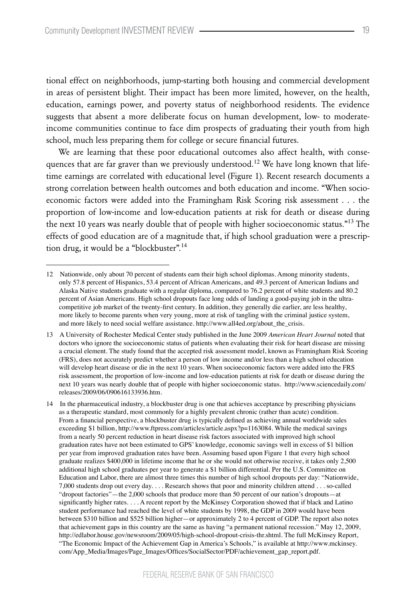tional effect on neighborhoods, jump-starting both housing and commercial development in areas of persistent blight. Their impact has been more limited, however, on the health, education, earnings power, and poverty status of neighborhood residents. The evidence suggests that absent a more deliberate focus on human development, low- to moderateincome communities continue to face dim prospects of graduating their youth from high school, much less preparing them for college or secure financial futures.

We are learning that these poor educational outcomes also affect health, with consequences that are far graver than we previously understood.<sup>12</sup> We have long known that lifetime earnings are correlated with educational level (Figure 1). Recent research documents a strong correlation between health outcomes and both education and income. "When socioeconomic factors were added into the Framingham Risk Scoring risk assessment . . . the proportion of low-income and low-education patients at risk for death or disease during the next 10 years was nearly double that of people with higher socioeconomic status."<sup>13</sup> The effects of good education are of a magnitude that, if high school graduation were a prescription drug, it would be a "blockbuster".<sup>14</sup>

<sup>12</sup> Nationwide, only about 70 percent of students earn their high school diplomas. Among minority students, only 57.8 percent of Hispanics, 53.4 percent of African Americans, and 49.3 percent of American Indians and Alaska Native students graduate with a regular diploma, compared to 76.2 percent of white students and 80.2 percent of Asian Americans. High school dropouts face long odds of landing a good-paying job in the ultracompetitive job market of the twenty-first century. In addition, they generally die earlier, are less healthy, more likely to become parents when very young, more at risk of tangling with the criminal justice system, and more likely to need social welfare assistance. http://www.all4ed.org/about\_the\_crisis.

<sup>13</sup> A University of Rochester Medical Center study published in the June 2009 *American Heart Journal* noted that doctors who ignore the socioeconomic status of patients when evaluating their risk for heart disease are missing a crucial element. The study found that the accepted risk assessment model, known as Framingham Risk Scoring (FRS), does not accurately predict whether a person of low income and/or less than a high school education will develop heart disease or die in the next 10 years. When socioeconomic factors were added into the FRS risk assessment, the proportion of low-income and low-education patients at risk for death or disease during the next 10 years was nearly double that of people with higher socioeconomic status. http://www.sciencedaily.com/ releases/2009/06/090616133936.htm.

<sup>14</sup> In the pharmaceutical industry, a blockbuster drug is one that achieves acceptance by prescribing physicians as a therapeutic standard, most commonly for a highly prevalent chronic (rather than acute) condition. From a financial perspective, a blockbuster drug is typically defined as achieving annual worldwide sales exceeding \$1 billion, http://www.ftpress.com/articles/article.aspx?p=1163084. While the medical savings from a nearly 50 percent reduction in heart disease risk factors associated with improved high school graduation rates have not been estimated to GPS' knowledge, economic savings well in excess of \$1 billion per year from improved graduation rates have been. Assuming based upon Figure 1 that every high school graduate realizes \$400,000 in lifetime income that he or she would not otherwise receive, it takes only 2,500 additional high school graduates per year to generate a \$1 billion differential. Per the U.S. Committee on Education and Labor, there are almost three times this number of high school dropouts per day: "Nationwide, 7,000 students drop out every day. . . . Research shows that poor and minority children attend . . . so-called "dropout factories"—the 2,000 schools that produce more than 50 percent of our nation's dropouts—at significantly higher rates. . . . A recent report by the McKinsey Corporation showed that if black and Latino student performance had reached the level of white students by 1998, the GDP in 2009 would have been between \$310 billion and \$525 billion higher—or approximately 2 to 4 percent of GDP. The report also notes that achievement gaps in this country are the same as having "a permanent national recession." May 12, 2009, http://edlabor.house.gov/newsroom/2009/05/high-school-dropout-crisis-thr.shtml. The full McKinsey Report, "The Economic Impact of the Achievement Gap in America's Schools," is available at http://www.mckinsey. com/App\_Media/Images/Page\_Images/Offices/SocialSector/PDF/achievement\_gap\_report.pdf.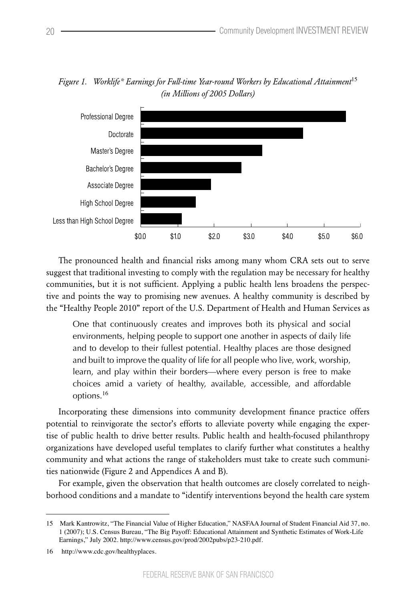

*Figure 1. Worklife\* Earnings for Full-time Year-round Workers by Educational Attainment*<sup>15</sup> *(in Millions of 2005 Dollars)*

The pronounced health and financial risks among many whom CRA sets out to serve suggest that traditional investing to comply with the regulation may be necessary for healthy communities, but it is not sufficient. Applying a public health lens broadens the perspective and points the way to promising new avenues. A healthy community is described by the "Healthy People 2010" report of the U.S. Department of Health and Human Services as

One that continuously creates and improves both its physical and social environments, helping people to support one another in aspects of daily life and to develop to their fullest potential. Healthy places are those designed and built to improve the quality of life for all people who live, work, worship, learn, and play within their borders—where every person is free to make choices amid a variety of healthy, available, accessible, and affordable options.<sup>16</sup>

Incorporating these dimensions into community development finance practice offers potential to reinvigorate the sector's efforts to alleviate poverty while engaging the expertise of public health to drive better results. Public health and health-focused philanthropy organizations have developed useful templates to clarify further what constitutes a healthy community and what actions the range of stakeholders must take to create such communities nationwide (Figure 2 and Appendices A and B).

For example, given the observation that health outcomes are closely correlated to neighborhood conditions and a mandate to "identify interventions beyond the health care system

<sup>15</sup> Mark Kantrowitz, "The Financial Value of Higher Education," NASFAA Journal of Student Financial Aid 37, no. 1 (2007); U.S. Census Bureau, "The Big Payoff: Educational Attainment and Synthetic Estimates of Work-Life Earnings," July 2002. http://www.census.gov/prod/2002pubs/p23-210.pdf.

<sup>16</sup> http://www.cdc.gov/healthyplaces.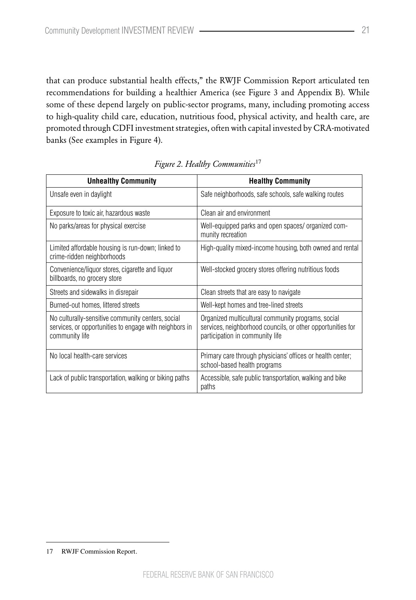that can produce substantial health effects," the RWJF Commission Report articulated ten recommendations for building a healthier America (see Figure 3 and Appendix B). While some of these depend largely on public-sector programs, many, including promoting access to high-quality child care, education, nutritious food, physical activity, and health care, are promoted through CDFI investment strategies, often with capital invested by CRA-motivated banks (See examples in Figure 4).

| <b>Unhealthy Community</b>                                                                                                    | <b>Healthy Community</b>                                                                                                                             |
|-------------------------------------------------------------------------------------------------------------------------------|------------------------------------------------------------------------------------------------------------------------------------------------------|
| Unsafe even in daylight                                                                                                       | Safe neighborhoods, safe schools, safe walking routes                                                                                                |
| Exposure to toxic air, hazardous waste                                                                                        | Clean air and environment                                                                                                                            |
| No parks/areas for physical exercise                                                                                          | Well-equipped parks and open spaces/ organized com-<br>munity recreation                                                                             |
| Limited affordable housing is run-down; linked to<br>crime-ridden neighborhoods                                               | High-quality mixed-income housing, both owned and rental                                                                                             |
| Convenience/liquor stores, cigarette and liquor<br>billboards, no grocery store                                               | Well-stocked grocery stores offering nutritious foods                                                                                                |
| Streets and sidewalks in disrepair                                                                                            | Clean streets that are easy to navigate                                                                                                              |
| Burned-out homes, littered streets                                                                                            | Well-kept homes and tree-lined streets                                                                                                               |
| No culturally-sensitive community centers, social<br>services, or opportunities to engage with neighbors in<br>community life | Organized multicultural community programs, social<br>services, neighborhood councils, or other opportunities for<br>participation in community life |
| No local health-care services                                                                                                 | Primary care through physicians' offices or health center;<br>school-based health programs                                                           |
| Lack of public transportation, walking or biking paths                                                                        | Accessible, safe public transportation, walking and bike<br>paths                                                                                    |

*Figure 2. Healthy Communities*<sup>17</sup>

<sup>17</sup> RWJF Commission Report.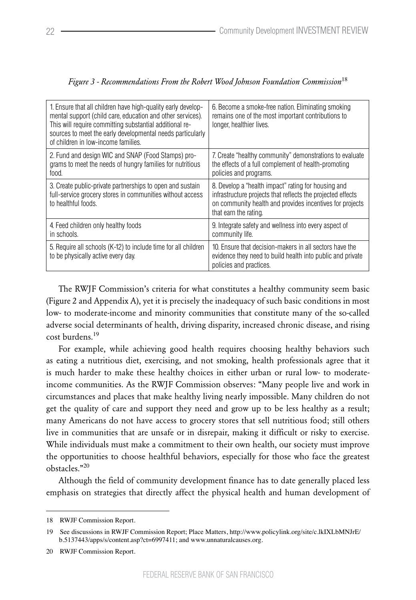| 1. Ensure that all children have high-quality early develop-<br>mental support (child care, education and other services).<br>This will require committing substantial additional re-<br>sources to meet the early developmental needs particularly<br>of children in low-income families. | 6. Become a smoke-free nation. Eliminating smoking<br>remains one of the most important contributions to<br>longer, healthier lives.                                                                    |
|--------------------------------------------------------------------------------------------------------------------------------------------------------------------------------------------------------------------------------------------------------------------------------------------|---------------------------------------------------------------------------------------------------------------------------------------------------------------------------------------------------------|
| 2. Fund and design WIC and SNAP (Food Stamps) pro-<br>grams to meet the needs of hungry families for nutritious<br>food.                                                                                                                                                                   | 7. Create "healthy community" demonstrations to evaluate<br>the effects of a full complement of health-promoting<br>policies and programs.                                                              |
| 3. Create public-private partnerships to open and sustain<br>full-service grocery stores in communities without access<br>to healthful foods.                                                                                                                                              | 8. Develop a "health impact" rating for housing and<br>infrastructure projects that reflects the projected effects<br>on community health and provides incentives for projects<br>that earn the rating. |
| 4. Feed children only healthy foods<br>in schools.                                                                                                                                                                                                                                         | 9. Integrate safety and wellness into every aspect of<br>community life.                                                                                                                                |
| 5. Require all schools (K-12) to include time for all children<br>to be physically active every day.                                                                                                                                                                                       | 10. Ensure that decision-makers in all sectors have the<br>evidence they need to build health into public and private<br>policies and practices.                                                        |

| Figure 3 - Recommendations From the Robert Wood Johnson Foundation Commission <sup>18</sup> |  |  |  |  |
|---------------------------------------------------------------------------------------------|--|--|--|--|
|---------------------------------------------------------------------------------------------|--|--|--|--|

The RWJF Commission's criteria for what constitutes a healthy community seem basic (Figure 2 and Appendix A), yet it is precisely the inadequacy of such basic conditions in most low- to moderate-income and minority communities that constitute many of the so-called adverse social determinants of health, driving disparity, increased chronic disease, and rising cost burdens.<sup>19</sup>

For example, while achieving good health requires choosing healthy behaviors such as eating a nutritious diet, exercising, and not smoking, health professionals agree that it is much harder to make these healthy choices in either urban or rural low- to moderateincome communities. As the RWJF Commission observes: "Many people live and work in circumstances and places that make healthy living nearly impossible. Many children do not get the quality of care and support they need and grow up to be less healthy as a result; many Americans do not have access to grocery stores that sell nutritious food; still others live in communities that are unsafe or in disrepair, making it difficult or risky to exercise. While individuals must make a commitment to their own health, our society must improve the opportunities to choose healthful behaviors, especially for those who face the greatest obstacles."<sup>20</sup>

Although the field of community development finance has to date generally placed less emphasis on strategies that directly affect the physical health and human development of

<sup>18</sup> RWJF Commission Report.

<sup>19</sup> See discussions in RWJF Commission Report; Place Matters, http://www.policylink.org/site/c.lkIXLbMNJrE/ b.5137443/apps/s/content.asp?ct=6997411; and www.unnaturalcauses.org.

<sup>20</sup> RWJF Commission Report.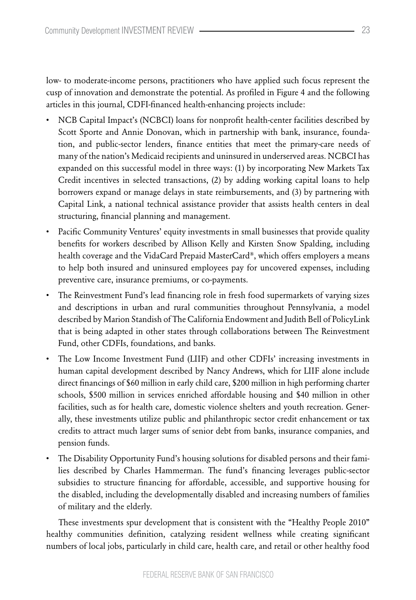low- to moderate-income persons, practitioners who have applied such focus represent the cusp of innovation and demonstrate the potential. As profiled in Figure 4 and the following articles in this journal, CDFI-financed health-enhancing projects include:

- NCB Capital Impact's (NCBCI) loans for nonprofit health-center facilities described by Scott Sporte and Annie Donovan, which in partnership with bank, insurance, foundation, and public-sector lenders, finance entities that meet the primary-care needs of many of the nation's Medicaid recipients and uninsured in underserved areas. NCBCI has expanded on this successful model in three ways: (1) by incorporating New Markets Tax Credit incentives in selected transactions, (2) by adding working capital loans to help borrowers expand or manage delays in state reimbursements, and (3) by partnering with Capital Link, a national technical assistance provider that assists health centers in deal structuring, financial planning and management.
- Pacific Community Ventures' equity investments in small businesses that provide quality benefits for workers described by Allison Kelly and Kirsten Snow Spalding, including health coverage and the VidaCard Prepaid MasterCard®, which offers employers a means to help both insured and uninsured employees pay for uncovered expenses, including preventive care, insurance premiums, or co-payments.
- The Reinvestment Fund's lead financing role in fresh food supermarkets of varying sizes and descriptions in urban and rural communities throughout Pennsylvania, a model described by Marion Standish of The California Endowment and Judith Bell of PolicyLink that is being adapted in other states through collaborations between The Reinvestment Fund, other CDFIs, foundations, and banks.
- The Low Income Investment Fund (LIIF) and other CDFIs' increasing investments in human capital development described by Nancy Andrews, which for LIIF alone include direct financings of \$60 million in early child care, \$200 million in high performing charter schools, \$500 million in services enriched affordable housing and \$40 million in other facilities, such as for health care, domestic violence shelters and youth recreation. Generally, these investments utilize public and philanthropic sector credit enhancement or tax credits to attract much larger sums of senior debt from banks, insurance companies, and pension funds.
- • The Disability Opportunity Fund's housing solutions for disabled persons and their families described by Charles Hammerman. The fund's financing leverages public-sector subsidies to structure financing for affordable, accessible, and supportive housing for the disabled, including the developmentally disabled and increasing numbers of families of military and the elderly.

These investments spur development that is consistent with the "Healthy People 2010" healthy communities definition, catalyzing resident wellness while creating significant numbers of local jobs, particularly in child care, health care, and retail or other healthy food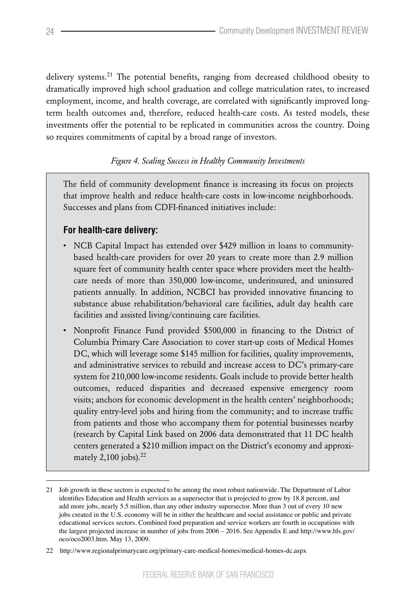delivery systems.<sup>21</sup> The potential benefits, ranging from decreased childhood obesity to dramatically improved high school graduation and college matriculation rates, to increased employment, income, and health coverage, are correlated with significantly improved longterm health outcomes and, therefore, reduced health-care costs. As tested models, these investments offer the potential to be replicated in communities across the country. Doing so requires commitments of capital by a broad range of investors.

# *Figure 4. Scaling Success in Healthy Community Investments*

The field of community development finance is increasing its focus on projects that improve health and reduce health-care costs in low-income neighborhoods. Successes and plans from CDFI-financed initiatives include:

# **For health-care delivery:**

- NCB Capital Impact has extended over \$429 million in loans to communitybased health-care providers for over 20 years to create more than 2.9 million square feet of community health center space where providers meet the healthcare needs of more than 350,000 low-income, underinsured, and uninsured patients annually. In addition, NCBCI has provided innovative financing to substance abuse rehabilitation/behavioral care facilities, adult day health care facilities and assisted living/continuing care facilities.
- Nonprofit Finance Fund provided \$500,000 in financing to the District of Columbia Primary Care Association to cover start-up costs of Medical Homes DC, which will leverage some \$145 million for facilities, quality improvements, and administrative services to rebuild and increase access to DC's primary-care system for 210,000 low-income residents. Goals include to provide better health outcomes, reduced disparities and decreased expensive emergency room visits; anchors for economic development in the health centers' neighborhoods; quality entry-level jobs and hiring from the community; and to increase traffic from patients and those who accompany them for potential businesses nearby (research by Capital Link based on 2006 data demonstrated that 11 DC health centers generated a \$210 million impact on the District's economy and approximately 2,100 jobs). $^{22}$

<sup>21</sup> Job growth in these sectors is expected to be among the most robust nationwide. The Department of Labor identifies Education and Health services as a supersector that is projected to grow by 18.8 percent, and add more jobs, nearly 5.5 million, than any other industry supersector. More than 3 out of every 10 new jobs created in the U.S. economy will be in either the healthcare and social assistance or public and private educational services sectors. Combined food preparation and service workers are fourth in occupations with the largest projected increase in number of jobs from 2006 – 2016. See Appendix E and http://www.bls.gov/ oco/oco2003.htm. May 13, 2009.

<sup>22</sup> http://www.regionalprimarycare.org/primary-care-medical-homes/medical-homes-dc.aspx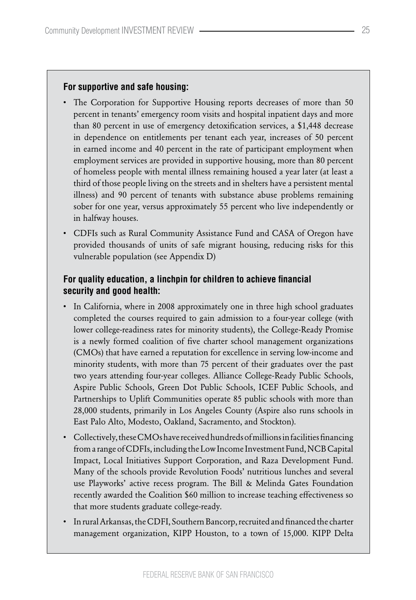#### **For supportive and safe housing:**

- The Corporation for Supportive Housing reports decreases of more than 50 percent in tenants' emergency room visits and hospital inpatient days and more than 80 percent in use of emergency detoxification services, a \$1,448 decrease in dependence on entitlements per tenant each year, increases of 50 percent in earned income and 40 percent in the rate of participant employment when employment services are provided in supportive housing, more than 80 percent of homeless people with mental illness remaining housed a year later (at least a third of those people living on the streets and in shelters have a persistent mental illness) and 90 percent of tenants with substance abuse problems remaining sober for one year, versus approximately 55 percent who live independently or in halfway houses.
- CDFIs such as Rural Community Assistance Fund and CASA of Oregon have provided thousands of units of safe migrant housing, reducing risks for this vulnerable population (see Appendix D)

## **For quality education, a linchpin for children to achieve financial security and good health:**

- In California, where in 2008 approximately one in three high school graduates completed the courses required to gain admission to a four-year college (with lower college-readiness rates for minority students), the College-Ready Promise is a newly formed coalition of five charter school management organizations (CMOs) that have earned a reputation for excellence in serving low-income and minority students, with more than 75 percent of their graduates over the past two years attending four-year colleges. Alliance College-Ready Public Schools, Aspire Public Schools, Green Dot Public Schools, ICEF Public Schools, and Partnerships to Uplift Communities operate 85 public schools with more than 28,000 students, primarily in Los Angeles County (Aspire also runs schools in East Palo Alto, Modesto, Oakland, Sacramento, and Stockton).
- Collectively, these CMOs have received hundreds of millions in facilities financing from a range of CDFIs, including the Low Income Investment Fund, NCB Capital Impact, Local Initiatives Support Corporation, and Raza Development Fund. Many of the schools provide Revolution Foods' nutritious lunches and several use Playworks' active recess program. The Bill & Melinda Gates Foundation recently awarded the Coalition \$60 million to increase teaching effectiveness so that more students graduate college-ready.
- In rural Arkansas, the CDFI, Southern Bancorp, recruited and financed the charter management organization, KIPP Houston, to a town of 15,000. KIPP Delta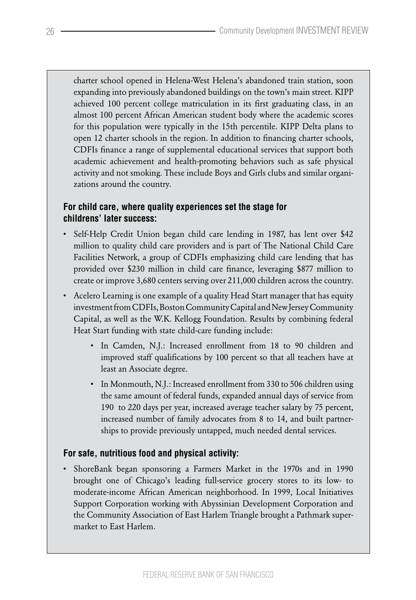charter school opened in Helena-West Helena's abandoned train station, soon expanding into previously abandoned buildings on the town's main street. KIPP achieved 100 percent college matriculation in its first graduating class, in an almost 100 percent African American student body where the academic scores for this population were typically in the 15th percentile. KIPP Delta plans to open 12 charter schools in the region. In addition to financing charter schools, CDFIs finance a range of supplemental educational services that support both academic achievement and health-promoting behaviors such as safe physical activity and not smoking. These include Boys and Girls clubs and similar organizations around the country.

# **For child care, where quality experiences set the stage for childrens' later success:**

- Self-Help Credit Union began child care lending in 1987, has lent over \$42 million to quality child care providers and is part of The National Child Care Facilities Network, a group of CDFIs emphasizing child care lending that has provided over \$230 million in child care finance, leveraging \$877 million to create or improve 3,680 centers serving over 211,000 children across the country.
- Acelero Learning is one example of a quality Head Start manager that has equity investment from CDFIs, Boston Community Capital and New Jersey Community Capital, as well as the W.K. Kellogg Foundation. Results by combining federal Heat Start funding with state child-care funding include:
	- • In Camden, N.J.: Increased enrollment from 18 to 90 children and improved staff qualifications by 100 percent so that all teachers have at least an Associate degree.
	- In Monmouth, N.J.: Increased enrollment from 330 to 506 children using the same amount of federal funds, expanded annual days of service from 190 to 220 days per year, increased average teacher salary by 75 percent, increased number of family advocates from 8 to 14, and built partnerships to provide previously untapped, much needed dental services.

## **For safe, nutritious food and physical activity:**

• ShoreBank began sponsoring a Farmers Market in the 1970s and in 1990 brought one of Chicago's leading full-service grocery stores to its low- to moderate-income African American neighborhood. In 1999, Local Initiatives Support Corporation working with Abyssinian Development Corporation and the Community Association of East Harlem Triangle brought a Pathmark supermarket to East Harlem.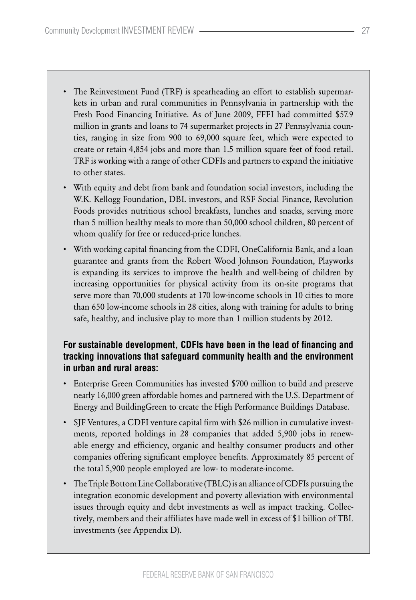- The Reinvestment Fund (TRF) is spearheading an effort to establish supermarkets in urban and rural communities in Pennsylvania in partnership with the Fresh Food Financing Initiative. As of June 2009, FFFI had committed \$57.9 million in grants and loans to 74 supermarket projects in 27 Pennsylvania counties, ranging in size from 900 to 69,000 square feet, which were expected to create or retain 4,854 jobs and more than 1.5 million square feet of food retail. TRF is working with a range of other CDFIs and partners to expand the initiative to other states.
- With equity and debt from bank and foundation social investors, including the W.K. Kellogg Foundation, DBL investors, and RSF Social Finance, Revolution Foods provides nutritious school breakfasts, lunches and snacks, serving more than 5 million healthy meals to more than 50,000 school children, 80 percent of whom qualify for free or reduced-price lunches.
- With working capital financing from the CDFI, OneCalifornia Bank, and a loan guarantee and grants from the Robert Wood Johnson Foundation, Playworks is expanding its services to improve the health and well-being of children by increasing opportunities for physical activity from its on-site programs that serve more than 70,000 students at 170 low-income schools in 10 cities to more than 650 low-income schools in 28 cities, along with training for adults to bring safe, healthy, and inclusive play to more than 1 million students by 2012.

# **For sustainable development, CDFIs have been in the lead of financing and tracking innovations that safeguard community health and the environment in urban and rural areas:**

- Enterprise Green Communities has invested \$700 million to build and preserve nearly 16,000 green affordable homes and partnered with the U.S. Department of Energy and BuildingGreen to create the High Performance Buildings Database.
- • SJF Ventures, a CDFI venture capital firm with \$26 million in cumulative investments, reported holdings in 28 companies that added 5,900 jobs in renewable energy and efficiency, organic and healthy consumer products and other companies offering significant employee benefits. Approximately 85 percent of the total 5,900 people employed are low- to moderate-income.
- The Triple Bottom Line Collaborative (TBLC) is an alliance of CDFIs pursuing the integration economic development and poverty alleviation with environmental issues through equity and debt investments as well as impact tracking. Collectively, members and their affiliates have made well in excess of \$1 billion of TBL investments (see Appendix D).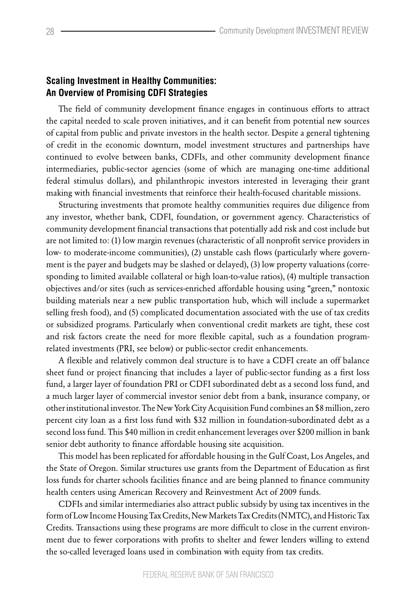## **Scaling Investment in Healthy Communities: An Overview of Promising CDFI Strategies**

The field of community development finance engages in continuous efforts to attract the capital needed to scale proven initiatives, and it can benefit from potential new sources of capital from public and private investors in the health sector. Despite a general tightening of credit in the economic downturn, model investment structures and partnerships have continued to evolve between banks, CDFIs, and other community development finance intermediaries, public-sector agencies (some of which are managing one-time additional federal stimulus dollars), and philanthropic investors interested in leveraging their grant making with financial investments that reinforce their health-focused charitable missions.

Structuring investments that promote healthy communities requires due diligence from any investor, whether bank, CDFI, foundation, or government agency. Characteristics of community development financial transactions that potentially add risk and cost include but are not limited to: (1) low margin revenues (characteristic of all nonprofit service providers in low- to moderate-income communities), (2) unstable cash flows (particularly where government is the payer and budgets may be slashed or delayed), (3) low property valuations (corresponding to limited available collateral or high loan-to-value ratios), (4) multiple transaction objectives and/or sites (such as services-enriched affordable housing using "green," nontoxic building materials near a new public transportation hub, which will include a supermarket selling fresh food), and (5) complicated documentation associated with the use of tax credits or subsidized programs. Particularly when conventional credit markets are tight, these cost and risk factors create the need for more flexible capital, such as a foundation programrelated investments (PRI, see below) or public-sector credit enhancements.

A flexible and relatively common deal structure is to have a CDFI create an off balance sheet fund or project financing that includes a layer of public-sector funding as a first loss fund, a larger layer of foundation PRI or CDFI subordinated debt as a second loss fund, and a much larger layer of commercial investor senior debt from a bank, insurance company, or other institutional investor. The New York City Acquisition Fund combines an \$8 million, zero percent city loan as a first loss fund with \$32 million in foundation-subordinated debt as a second loss fund. This \$40 million in credit enhancement leverages over \$200 million in bank senior debt authority to finance affordable housing site acquisition.

This model has been replicated for affordable housing in the Gulf Coast, Los Angeles, and the State of Oregon. Similar structures use grants from the Department of Education as first loss funds for charter schools facilities finance and are being planned to finance community health centers using American Recovery and Reinvestment Act of 2009 funds.

CDFIs and similar intermediaries also attract public subsidy by using tax incentives in the form of Low Income Housing Tax Credits, New Markets Tax Credits (NMTC), and Historic Tax Credits. Transactions using these programs are more difficult to close in the current environment due to fewer corporations with profits to shelter and fewer lenders willing to extend the so-called leveraged loans used in combination with equity from tax credits.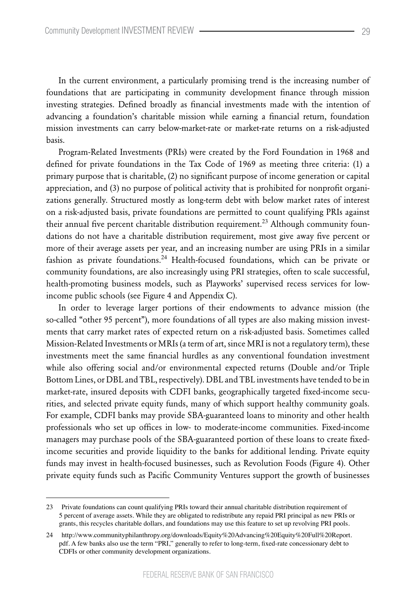In the current environment, a particularly promising trend is the increasing number of foundations that are participating in community development finance through mission investing strategies. Defined broadly as financial investments made with the intention of advancing a foundation's charitable mission while earning a financial return, foundation mission investments can carry below-market-rate or market-rate returns on a risk-adjusted basis.

Program-Related Investments (PRIs) were created by the Ford Foundation in 1968 and defined for private foundations in the Tax Code of 1969 as meeting three criteria: (1) a primary purpose that is charitable, (2) no significant purpose of income generation or capital appreciation, and (3) no purpose of political activity that is prohibited for nonprofit organizations generally. Structured mostly as long-term debt with below market rates of interest on a risk-adjusted basis, private foundations are permitted to count qualifying PRIs against their annual five percent charitable distribution requirement.<sup>23</sup> Although community foundations do not have a charitable distribution requirement, most give away five percent or more of their average assets per year, and an increasing number are using PRIs in a similar fashion as private foundations.<sup>24</sup> Health-focused foundations, which can be private or community foundations, are also increasingly using PRI strategies, often to scale successful, health-promoting business models, such as Playworks' supervised recess services for lowincome public schools (see Figure 4 and Appendix C).

In order to leverage larger portions of their endowments to advance mission (the so-called "other 95 percent"), more foundations of all types are also making mission investments that carry market rates of expected return on a risk-adjusted basis. Sometimes called Mission-Related Investments or MRIs (a term of art, since MRI is not a regulatory term), these investments meet the same financial hurdles as any conventional foundation investment while also offering social and/or environmental expected returns (Double and/or Triple Bottom Lines, or DBL and TBL, respectively). DBL and TBL investments have tended to be in market-rate, insured deposits with CDFI banks, geographically targeted fixed-income securities, and selected private equity funds, many of which support healthy community goals. For example, CDFI banks may provide SBA-guaranteed loans to minority and other health professionals who set up offices in low- to moderate-income communities. Fixed-income managers may purchase pools of the SBA-guaranteed portion of these loans to create fixedincome securities and provide liquidity to the banks for additional lending. Private equity funds may invest in health-focused businesses, such as Revolution Foods (Figure 4). Other private equity funds such as Pacific Community Ventures support the growth of businesses

<sup>23</sup> Private foundations can count qualifying PRIs toward their annual charitable distribution requirement of 5 percent of average assets. While they are obligated to redistribute any repaid PRI principal as new PRIs or grants, this recycles charitable dollars, and foundations may use this feature to set up revolving PRI pools.

<sup>24</sup> http://www.communityphilanthropy.org/downloads/Equity%20Advancing%20Equity%20Full%20Report. pdf. A few banks also use the term "PRI," generally to refer to long-term, fixed-rate concessionary debt to CDFIs or other community development organizations.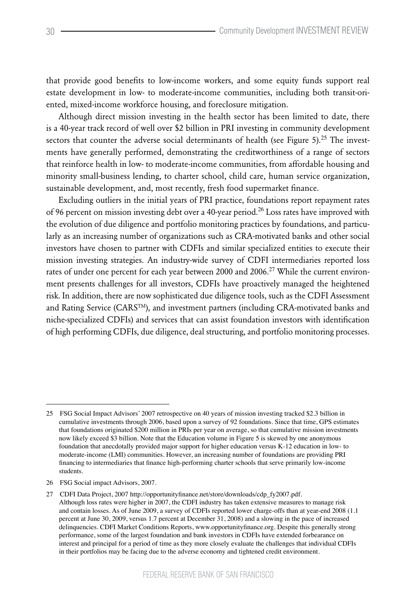that provide good benefits to low-income workers, and some equity funds support real estate development in low- to moderate-income communities, including both transit-oriented, mixed-income workforce housing, and foreclosure mitigation.

Although direct mission investing in the health sector has been limited to date, there is a 40-year track record of well over \$2 billion in PRI investing in community development sectors that counter the adverse social determinants of health (see Figure 5).<sup>25</sup> The investments have generally performed, demonstrating the creditworthiness of a range of sectors that reinforce health in low- to moderate-income communities, from affordable housing and minority small-business lending, to charter school, child care, human service organization, sustainable development, and, most recently, fresh food supermarket finance.

Excluding outliers in the initial years of PRI practice, foundations report repayment rates of 96 percent on mission investing debt over a 40-year period.<sup>26</sup> Loss rates have improved with the evolution of due diligence and portfolio monitoring practices by foundations, and particularly as an increasing number of organizations such as CRA-motivated banks and other social investors have chosen to partner with CDFIs and similar specialized entities to execute their mission investing strategies. An industry-wide survey of CDFI intermediaries reported loss rates of under one percent for each year between 2000 and 2006.<sup>27</sup> While the current environment presents challenges for all investors, CDFIs have proactively managed the heightened risk. In addition, there are now sophisticated due diligence tools, such as the CDFI Assessment and Rating Service (CARS<sup>TM</sup>), and investment partners (including CRA-motivated banks and niche-specialized CDFIs) and services that can assist foundation investors with identification of high performing CDFIs, due diligence, deal structuring, and portfolio monitoring processes.

<sup>25</sup> FSG Social Impact Advisors' 2007 retrospective on 40 years of mission investing tracked \$2.3 billion in cumulative investments through 2006, based upon a survey of 92 foundations. Since that time, GPS estimates that foundations originated \$200 million in PRIs per year on average, so that cumulative mission investments now likely exceed \$3 billion. Note that the Education volume in Figure 5 is skewed by one anonymous foundation that anecdotally provided major support for higher education versus K-12 education in low- to moderate-income (LMI) communities. However, an increasing number of foundations are providing PRI financing to intermediaries that finance high-performing charter schools that serve primarily low-income students.

<sup>26</sup> FSG Social impact Advisors, 2007.

<sup>27</sup> CDFI Data Project, 2007 http://opportunityfinance.net/store/downloads/cdp\_fy2007.pdf. Although loss rates were higher in 2007, the CDFI industry has taken extensive measures to manage risk and contain losses. As of June 2009, a survey of CDFIs reported lower charge-offs than at year-end 2008 (1.1 percent at June 30, 2009, versus 1.7 percent at December 31, 2008) and a slowing in the pace of increased delinquencies. CDFI Market Conditions Reports, www.opportunityfinance.org. Despite this generally strong performance, some of the largest foundation and bank investors in CDFIs have extended forbearance on interest and principal for a period of time as they more closely evaluate the challenges that individual CDFIs in their portfolios may be facing due to the adverse economy and tightened credit environment.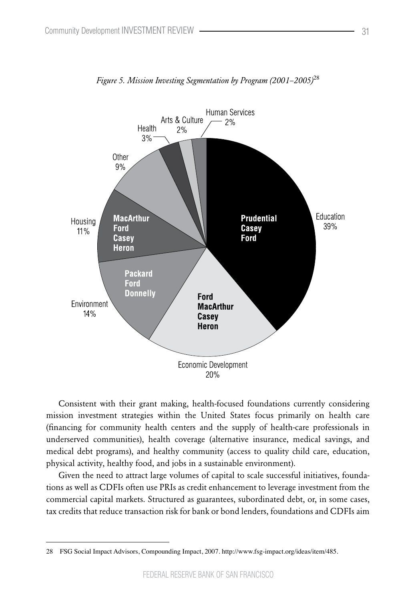

*Figure 5. Mission Investing Segmentation by Program (2001–2005)*<sup>28</sup>

Consistent with their grant making, health-focused foundations currently considering mission investment strategies within the United States focus primarily on health care (financing for community health centers and the supply of health-care professionals in underserved communities), health coverage (alternative insurance, medical savings, and medical debt programs), and healthy community (access to quality child care, education, physical activity, healthy food, and jobs in a sustainable environment).

Given the need to attract large volumes of capital to scale successful initiatives, foundations as well as CDFIs often use PRIs as credit enhancement to leverage investment from the commercial capital markets. Structured as guarantees, subordinated debt, or, in some cases, tax credits that reduce transaction risk for bank or bond lenders, foundations and CDFIs aim

<sup>28</sup> FSG Social Impact Advisors, Compounding Impact, 2007. http://www.fsg-impact.org/ideas/item/485.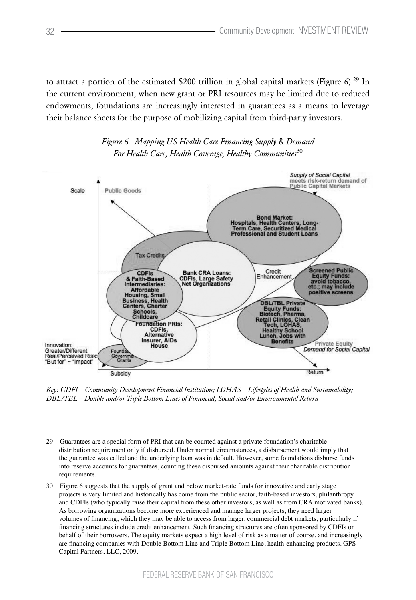to attract a portion of the estimated \$200 trillion in global capital markets (Figure 6).<sup>29</sup> In the current environment, when new grant or PRI resources may be limited due to reduced endowments, foundations are increasingly interested in guarantees as a means to leverage their balance sheets for the purpose of mobilizing capital from third-party investors.





*Key: CDFI – Community Development Financial Institution; LOHAS – Lifestyles of Health and Sustainability; DBL/TBL – Double and/or Triple Bottom Lines of Financial, Social and/or Environmental Return*

<sup>29</sup> Guarantees are a special form of PRI that can be counted against a private foundation's charitable distribution requirement only if disbursed. Under normal circumstances, a disbursement would imply that the guarantee was called and the underlying loan was in default. However, some foundations disburse funds into reserve accounts for guarantees, counting these disbursed amounts against their charitable distribution requirements.

<sup>30</sup> Figure 6 suggests that the supply of grant and below market-rate funds for innovative and early stage projects is very limited and historically has come from the public sector, faith-based investors, philanthropy and CDFIs (who typically raise their capital from these other investors, as well as from CRA motivated banks). As borrowing organizations become more experienced and manage larger projects, they need larger volumes of financing, which they may be able to access from larger, commercial debt markets, particularly if financing structures include credit enhancement. Such financing structures are often sponsored by CDFIs on behalf of their borrowers. The equity markets expect a high level of risk as a matter of course, and increasingly are financing companies with Double Bottom Line and Triple Bottom Line, health-enhancing products. GPS Capital Partners, LLC, 2009.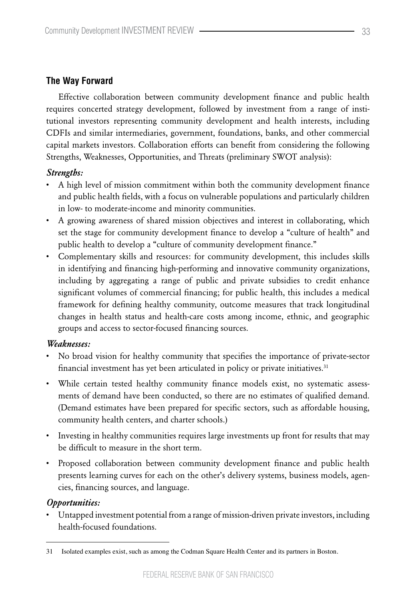## **The Way Forward**

Effective collaboration between community development finance and public health requires concerted strategy development, followed by investment from a range of institutional investors representing community development and health interests, including CDFIs and similar intermediaries, government, foundations, banks, and other commercial capital markets investors. Collaboration efforts can benefit from considering the following Strengths, Weaknesses, Opportunities, and Threats (preliminary SWOT analysis):

#### *Strengths:*

- A high level of mission commitment within both the community development finance and public health fields, with a focus on vulnerable populations and particularly children in low- to moderate-income and minority communities.
- • A growing awareness of shared mission objectives and interest in collaborating, which set the stage for community development finance to develop a "culture of health" and public health to develop a "culture of community development finance."
- • Complementary skills and resources: for community development, this includes skills in identifying and financing high-performing and innovative community organizations, including by aggregating a range of public and private subsidies to credit enhance significant volumes of commercial financing; for public health, this includes a medical framework for defining healthy community, outcome measures that track longitudinal changes in health status and health-care costs among income, ethnic, and geographic groups and access to sector-focused financing sources.

#### *Weaknesses:*

- No broad vision for healthy community that specifies the importance of private-sector financial investment has yet been articulated in policy or private initiatives.31
- • While certain tested healthy community finance models exist, no systematic assessments of demand have been conducted, so there are no estimates of qualified demand. (Demand estimates have been prepared for specific sectors, such as affordable housing, community health centers, and charter schools.)
- • Investing in healthy communities requires large investments up front for results that may be difficult to measure in the short term.
- • Proposed collaboration between community development finance and public health presents learning curves for each on the other's delivery systems, business models, agencies, financing sources, and language.

## *Opportunities:*

• Untapped investment potential from a range of mission-driven private investors, including health-focused foundations.

<sup>31</sup> Isolated examples exist, such as among the Codman Square Health Center and its partners in Boston.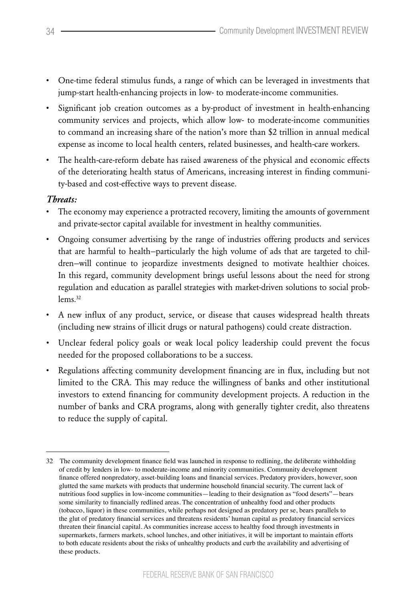- • One-time federal stimulus funds, a range of which can be leveraged in investments that jump-start health-enhancing projects in low- to moderate-income communities.
- • Significant job creation outcomes as a by-product of investment in health-enhancing community services and projects, which allow low- to moderate-income communities to command an increasing share of the nation's more than \$2 trillion in annual medical expense as income to local health centers, related businesses, and health-care workers.
- The health-care-reform debate has raised awareness of the physical and economic effects of the deteriorating health status of Americans, increasing interest in finding community-based and cost-effective ways to prevent disease.

## *Threats:*

- The economy may experience a protracted recovery, limiting the amounts of government and private-sector capital available for investment in healthy communities.
- • Ongoing consumer advertising by the range of industries offering products and services that are harmful to health—particularly the high volume of ads that are targeted to children—will continue to jeopardize investments designed to motivate healthier choices. In this regard, community development brings useful lessons about the need for strong regulation and education as parallel strategies with market-driven solutions to social problems<sup>32</sup>
- • A new influx of any product, service, or disease that causes widespread health threats (including new strains of illicit drugs or natural pathogens) could create distraction.
- • Unclear federal policy goals or weak local policy leadership could prevent the focus needed for the proposed collaborations to be a success.
- • Regulations affecting community development financing are in flux, including but not limited to the CRA. This may reduce the willingness of banks and other institutional investors to extend financing for community development projects. A reduction in the number of banks and CRA programs, along with generally tighter credit, also threatens to reduce the supply of capital.

<sup>32</sup> The community development finance field was launched in response to redlining, the deliberate withholding of credit by lenders in low- to moderate-income and minority communities. Community development finance offered nonpredatory, asset-building loans and financial services. Predatory providers, however, soon glutted the same markets with products that undermine household financial security. The current lack of nutritious food supplies in low-income communities—leading to their designation as "food deserts"—bears some similarity to financially redlined areas. The concentration of unhealthy food and other products (tobacco, liquor) in these communities, while perhaps not designed as predatory per se, bears parallels to the glut of predatory financial services and threatens residents' human capital as predatory financial services threaten their financial capital. As communities increase access to healthy food through investments in supermarkets, farmers markets, school lunches, and other initiatives, it will be important to maintain efforts to both educate residents about the risks of unhealthy products and curb the availability and advertising of these products.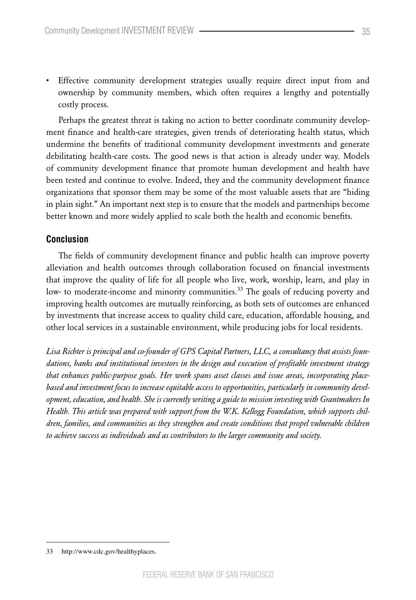• Effective community development strategies usually require direct input from and ownership by community members, which often requires a lengthy and potentially costly process.

Perhaps the greatest threat is taking no action to better coordinate community development finance and health-care strategies, given trends of deteriorating health status, which undermine the benefits of traditional community development investments and generate debilitating health-care costs. The good news is that action is already under way. Models of community development finance that promote human development and health have been tested and continue to evolve. Indeed, they and the community development finance organizations that sponsor them may be some of the most valuable assets that are "hiding in plain sight." An important next step is to ensure that the models and partnerships become better known and more widely applied to scale both the health and economic benefits.

#### **Conclusion**

The fields of community development finance and public health can improve poverty alleviation and health outcomes through collaboration focused on financial investments that improve the quality of life for all people who live, work, worship, learn, and play in low- to moderate-income and minority communities.<sup>33</sup> The goals of reducing poverty and improving health outcomes are mutually reinforcing, as both sets of outcomes are enhanced by investments that increase access to quality child care, education, affordable housing, and other local services in a sustainable environment, while producing jobs for local residents.

*Lisa Richter is principal and co-founder of GPS Capital Partners, LLC, a consultancy that assists foundations, banks and institutional investors in the design and execution of profitable investment strategy that enhances public-purpose goals. Her work spans asset classes and issue areas, incorporating placebased and investment focus to increase equitable access to opportunities, particularly in community development, education, and health. She is currently writing a guide to mission investing with Grantmakers In Health. This article was prepared with support from the W.K. Kellogg Foundation, which supports children, families, and communities as they strengthen and create conditions that propel vulnerable children to achieve success as individuals and as contributors to the larger community and society.*

<sup>33</sup> http://www.cdc.gov/healthyplaces.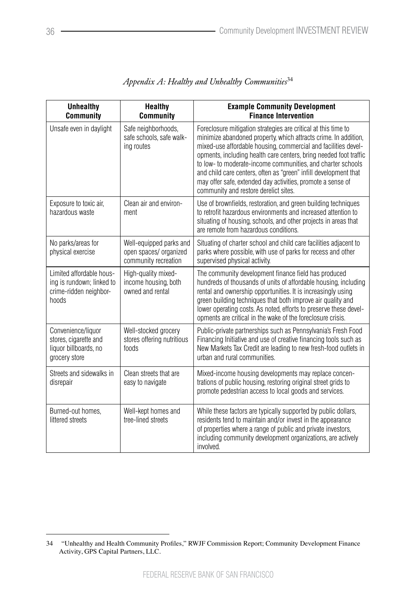| <b>Unhealthy</b><br><b>Community</b>                                                     | <b>Healthy</b><br><b>Community</b>                                        | <b>Example Community Development</b><br><b>Finance Intervention</b>                                                                                                                                                                                                                                                                                                                                                                                                                                                 |
|------------------------------------------------------------------------------------------|---------------------------------------------------------------------------|---------------------------------------------------------------------------------------------------------------------------------------------------------------------------------------------------------------------------------------------------------------------------------------------------------------------------------------------------------------------------------------------------------------------------------------------------------------------------------------------------------------------|
| Unsafe even in daylight                                                                  | Safe neighborhoods,<br>safe schools, safe walk-<br>ing routes             | Foreclosure mitigation strategies are critical at this time to<br>minimize abandoned property, which attracts crime. In addition,<br>mixed-use affordable housing, commercial and facilities devel-<br>opments, including health care centers, bring needed foot traffic<br>to low- to moderate-income communities, and charter schools<br>and child care centers, often as "green" infill development that<br>may offer safe, extended day activities, promote a sense of<br>community and restore derelict sites. |
| Exposure to toxic air,<br>hazardous waste                                                | Clean air and environ-<br>ment                                            | Use of brownfields, restoration, and green building techniques<br>to retrofit hazardous environments and increased attention to<br>situating of housing, schools, and other projects in areas that<br>are remote from hazardous conditions.                                                                                                                                                                                                                                                                         |
| No parks/areas for<br>physical exercise                                                  | Well-equipped parks and<br>open spaces/ organized<br>community recreation | Situating of charter school and child care facilities adjacent to<br>parks where possible, with use of parks for recess and other<br>supervised physical activity.                                                                                                                                                                                                                                                                                                                                                  |
| Limited affordable hous-<br>ing is rundown; linked to<br>crime-ridden neighbor-<br>hoods | High-quality mixed-<br>income housing, both<br>owned and rental           | The community development finance field has produced<br>hundreds of thousands of units of affordable housing, including<br>rental and ownership opportunities. It is increasingly using<br>green building techniques that both improve air quality and<br>lower operating costs. As noted, efforts to preserve these devel-<br>opments are critical in the wake of the foreclosure crisis.                                                                                                                          |
| Convenience/liquor<br>stores, cigarette and<br>liquor billboards, no<br>grocery store    | Well-stocked grocery<br>stores offering nutritious<br>foods               | Public-private partnerships such as Pennsylvania's Fresh Food<br>Financing Initiative and use of creative financing tools such as<br>New Markets Tax Credit are leading to new fresh-food outlets in<br>urban and rural communities.                                                                                                                                                                                                                                                                                |
| Streets and sidewalks in<br>disrepair                                                    | Clean streets that are<br>easy to navigate                                | Mixed-income housing developments may replace concen-<br>trations of public housing, restoring original street grids to<br>promote pedestrian access to local goods and services.                                                                                                                                                                                                                                                                                                                                   |
| Burned-out homes,<br>littered streets                                                    | Well-kept homes and<br>tree-lined streets                                 | While these factors are typically supported by public dollars,<br>residents tend to maintain and/or invest in the appearance<br>of properties where a range of public and private investors,<br>including community development organizations, are actively<br>involved.                                                                                                                                                                                                                                            |

# *Appendix A: Healthy and Unhealthy Communities*<sup>34</sup>

<sup>34 &</sup>quot;Unhealthy and Health Community Profiles," RWJF Commission Report; Community Development Finance Activity, GPS Capital Partners, LLC.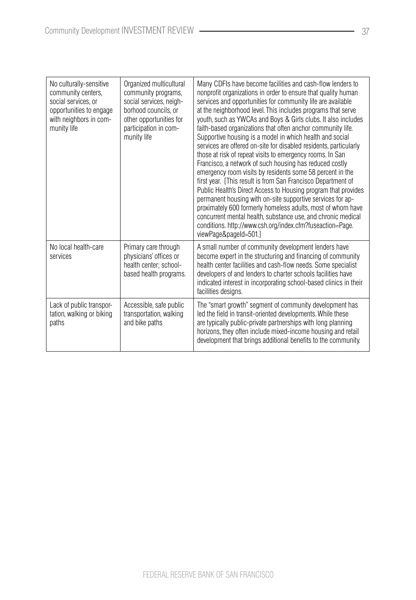| No culturally-sensitive<br>community centers,<br>social services, or<br>opportunities to engage<br>with neighbors in com-<br>munity life | Organized multicultural<br>community programs,<br>social services, neigh-<br>borhood councils, or<br>other opportunities for<br>participation in com-<br>munity life | Many CDFIs have become facilities and cash-flow lenders to<br>nonprofit organizations in order to ensure that quality human<br>services and opportunities for community life are available<br>at the neighborhood level. This includes programs that serve<br>youth, such as YWCAs and Boys & Girls clubs. It also includes<br>faith-based organizations that often anchor community life.<br>Supportive housing is a model in which health and social<br>services are offered on-site for disabled residents, particularly<br>those at risk of repeat visits to emergency rooms. In San<br>Francisco, a network of such housing has reduced costly<br>emergency room visits by residents some 58 percent in the<br>first year. [This result is from San Francisco Department of<br>Public Health's Direct Access to Housing program that provides<br>permanent housing with on-site supportive services for ap-<br>proximately 600 formerly homeless adults, most of whom have<br>concurrent mental health, substance use, and chronic medical<br>conditions. http://www.csh.org/index.cfm?fuseaction=Page.<br>viewPage&pageId=501.] |
|------------------------------------------------------------------------------------------------------------------------------------------|----------------------------------------------------------------------------------------------------------------------------------------------------------------------|---------------------------------------------------------------------------------------------------------------------------------------------------------------------------------------------------------------------------------------------------------------------------------------------------------------------------------------------------------------------------------------------------------------------------------------------------------------------------------------------------------------------------------------------------------------------------------------------------------------------------------------------------------------------------------------------------------------------------------------------------------------------------------------------------------------------------------------------------------------------------------------------------------------------------------------------------------------------------------------------------------------------------------------------------------------------------------------------------------------------------------------|
| No local health-care<br>services                                                                                                         | Primary care through<br>physicians' offices or<br>health center: school-<br>based health programs.                                                                   | A small number of community development lenders have<br>become expert in the structuring and financing of community<br>health center facilities and cash-flow needs. Some specialist<br>developers of and lenders to charter schools facilities have<br>indicated interest in incorporating school-based clinics in their<br>facilities designs.                                                                                                                                                                                                                                                                                                                                                                                                                                                                                                                                                                                                                                                                                                                                                                                      |
| Lack of public transpor-<br>tation, walking or biking<br>paths                                                                           | Accessible, safe public<br>transportation, walking<br>and bike paths                                                                                                 | The "smart growth" segment of community development has<br>led the field in transit-oriented developments. While these<br>are typically public-private partnerships with long planning<br>horizons, they often include mixed-income housing and retail<br>development that brings additional benefits to the community.                                                                                                                                                                                                                                                                                                                                                                                                                                                                                                                                                                                                                                                                                                                                                                                                               |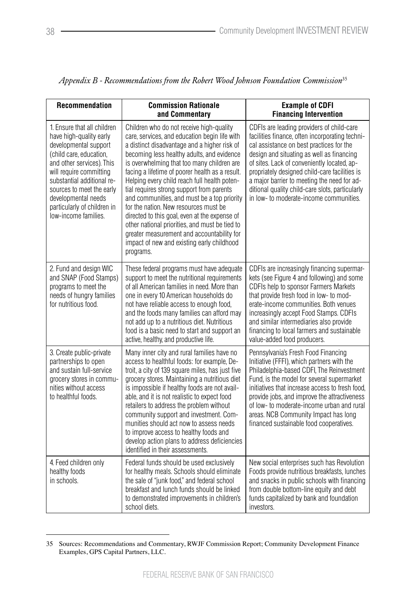| Recommendation                                                                                                                                                                                                                                                                                              | <b>Commission Rationale</b><br>and Commentary                                                                                                                                                                                                                                                                                                                                                                                                                                                                                                                                                                                                                                             | <b>Example of CDFI</b><br><b>Financing Intervention</b>                                                                                                                                                                                                                                                                                                                                                                            |
|-------------------------------------------------------------------------------------------------------------------------------------------------------------------------------------------------------------------------------------------------------------------------------------------------------------|-------------------------------------------------------------------------------------------------------------------------------------------------------------------------------------------------------------------------------------------------------------------------------------------------------------------------------------------------------------------------------------------------------------------------------------------------------------------------------------------------------------------------------------------------------------------------------------------------------------------------------------------------------------------------------------------|------------------------------------------------------------------------------------------------------------------------------------------------------------------------------------------------------------------------------------------------------------------------------------------------------------------------------------------------------------------------------------------------------------------------------------|
| 1. Ensure that all children<br>have high-quality early<br>developmental support<br>(child care, education,<br>and other services). This<br>will require committing<br>substantial additional re-<br>sources to meet the early<br>developmental needs<br>particularly of children in<br>low-income families. | Children who do not receive high-quality<br>care, services, and education begin life with<br>a distinct disadvantage and a higher risk of<br>becoming less healthy adults, and evidence<br>is overwhelming that too many children are<br>facing a lifetime of poorer health as a result.<br>Helping every child reach full health poten-<br>tial requires strong support from parents<br>and communities, and must be a top priority<br>for the nation. New resources must be<br>directed to this goal, even at the expense of<br>other national priorities, and must be tied to<br>greater measurement and accountability for<br>impact of new and existing early childhood<br>programs. | CDFIs are leading providers of child-care<br>facilities finance, often incorporating techni-<br>cal assistance on best practices for the<br>design and situating as well as financing<br>of sites. Lack of conveniently located, ap-<br>propriately designed child-care facilities is<br>a major barrier to meeting the need for ad-<br>ditional quality child-care slots, particularly<br>in low- to moderate-income communities. |
| 2. Fund and design WIC<br>and SNAP (Food Stamps)<br>programs to meet the<br>needs of hungry families<br>for nutritious food.                                                                                                                                                                                | These federal programs must have adequate<br>support to meet the nutritional requirements<br>of all American families in need. More than<br>one in every 10 American households do<br>not have reliable access to enough food,<br>and the foods many families can afford may<br>not add up to a nutritious diet. Nutritious<br>food is a basic need to start and support an<br>active, healthy, and productive life.                                                                                                                                                                                                                                                                      | CDFIs are increasingly financing supermar-<br>kets (see Figure 4 and following) and some<br>CDFIs help to sponsor Farmers Markets<br>that provide fresh food in low- to mod-<br>erate-income communities. Both venues<br>increasingly accept Food Stamps. CDFIs<br>and similar intermediaries also provide<br>financing to local farmers and sustainable<br>value-added food producers.                                            |
| 3. Create public-private<br>partnerships to open<br>and sustain full-service<br>grocery stores in commu-<br>nities without access<br>to healthful foods.                                                                                                                                                    | Many inner city and rural families have no<br>access to healthful foods: for example, De-<br>troit, a city of 139 square miles, has just five<br>grocery stores. Maintaining a nutritious diet<br>is impossible if healthy foods are not avail-<br>able, and it is not realistic to expect food<br>retailers to address the problem without<br>community support and investment. Com-<br>munities should act now to assess needs<br>to improve access to healthy foods and<br>develop action plans to address deficiencies<br>identified in their assessments.                                                                                                                            | Pennsylvania's Fresh Food Financing<br>Initiative (FFFI), which partners with the<br>Philadelphia-based CDFI, The Reinvestment<br>Fund, is the model for several supermarket<br>initiatives that increase access to fresh food,<br>provide jobs, and improve the attractiveness<br>of low- to moderate-income urban and rural<br>areas. NCB Community Impact has long<br>financed sustainable food cooperatives.                   |
| 4. Feed children only<br>healthy foods<br>in schools.                                                                                                                                                                                                                                                       | Federal funds should be used exclusively<br>for healthy meals. Schools should eliminate<br>the sale of "junk food," and federal school<br>breakfast and lunch funds should be linked<br>to demonstrated improvements in children's<br>school diets.                                                                                                                                                                                                                                                                                                                                                                                                                                       | New social enterprises such has Revolution<br>Foods provide nutritious breakfasts, lunches<br>and snacks in public schools with financing<br>from double bottom-line equity and debt<br>funds capitalized by bank and foundation<br>investors.                                                                                                                                                                                     |

| Appendix B - Recommendations from the Robert Wood Johnson Foundation Commission <sup>35</sup> |  |  |
|-----------------------------------------------------------------------------------------------|--|--|
|                                                                                               |  |  |
|                                                                                               |  |  |

<sup>35</sup> Sources: Recommendations and Commentary, RWJF Commission Report; Community Development Finance Examples, GPS Capital Partners, LLC.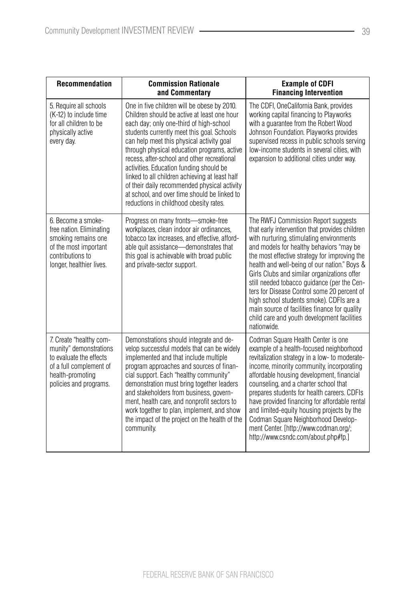| <b>Recommendation</b>                                                                                                                                 | <b>Commission Rationale</b><br>and Commentary                                                                                                                                                                                                                                                                                                                                                                                                                                                                                                                         | <b>Example of CDFI</b><br><b>Financing Intervention</b>                                                                                                                                                                                                                                                                                                                                                                                                                                                                                                                                |
|-------------------------------------------------------------------------------------------------------------------------------------------------------|-----------------------------------------------------------------------------------------------------------------------------------------------------------------------------------------------------------------------------------------------------------------------------------------------------------------------------------------------------------------------------------------------------------------------------------------------------------------------------------------------------------------------------------------------------------------------|----------------------------------------------------------------------------------------------------------------------------------------------------------------------------------------------------------------------------------------------------------------------------------------------------------------------------------------------------------------------------------------------------------------------------------------------------------------------------------------------------------------------------------------------------------------------------------------|
| 5. Require all schools<br>(K-12) to include time<br>for all children to be<br>physically active<br>every day.                                         | One in five children will be obese by 2010.<br>Children should be active at least one hour<br>each day; only one-third of high-school<br>students currently meet this goal. Schools<br>can help meet this physical activity goal<br>through physical education programs, active<br>recess, after-school and other recreational<br>activities. Education funding should be<br>linked to all children achieving at least half<br>of their daily recommended physical activity<br>at school, and over time should be linked to<br>reductions in childhood obesity rates. | The CDFI, OneCalifornia Bank, provides<br>working capital financing to Playworks<br>with a quarantee from the Robert Wood<br>Johnson Foundation. Playworks provides<br>supervised recess in public schools serving<br>low-income students in several cities, with<br>expansion to additional cities under way.                                                                                                                                                                                                                                                                         |
| 6. Become a smoke-<br>free nation. Eliminating<br>smoking remains one<br>of the most important<br>contributions to<br>longer, healthier lives.        | Progress on many fronts-smoke-free<br>workplaces, clean indoor air ordinances,<br>tobacco tax increases, and effective, afford-<br>able quit assistance-demonstrates that<br>this goal is achievable with broad public<br>and private-sector support.                                                                                                                                                                                                                                                                                                                 | The RWFJ Commission Report suggests<br>that early intervention that provides children<br>with nurturing, stimulating environments<br>and models for healthy behaviors "may be<br>the most effective strategy for improving the<br>health and well-being of our nation." Boys &<br>Girls Clubs and similar organizations offer<br>still needed tobacco guidance (per the Cen-<br>ters for Disease Control some 20 percent of<br>high school students smoke). CDFIs are a<br>main source of facilities finance for quality<br>child care and youth development facilities<br>nationwide. |
| 7. Create "healthy com-<br>munity" demonstrations<br>to evaluate the effects<br>of a full complement of<br>health-promoting<br>policies and programs. | Demonstrations should integrate and de-<br>velop successful models that can be widely<br>implemented and that include multiple<br>program approaches and sources of finan-<br>cial support. Each "healthy community"<br>demonstration must bring together leaders<br>and stakeholders from business, govern-<br>ment, health care, and nonprofit sectors to<br>work together to plan, implement, and show<br>the impact of the project on the health of the<br>community.                                                                                             | Codman Square Health Center is one<br>example of a health-focused neighborhood<br>revitalization strategy in a low- to moderate-<br>income, minority community, incorporating<br>affordable housing development, financial<br>counseling, and a charter school that<br>prepares students for health careers. CDFIs<br>have provided financing for affordable rental<br>and limited-equity housing projects by the<br>Codman Square Neighborhood Develop-<br>ment Center. [http://www.codman.org/;<br>http://www.csndc.com/about.php#fp.]                                               |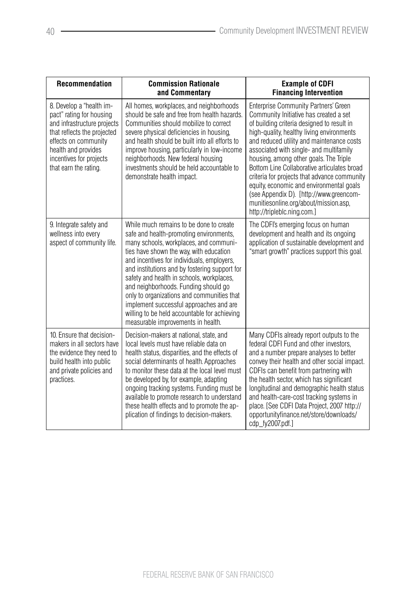| <b>Recommendation</b>                                                                                                                                                                                                 | <b>Commission Rationale</b><br>and Commentary                                                                                                                                                                                                                                                                                                                                                                                                                                                                                              | <b>Example of CDFI</b><br><b>Financing Intervention</b>                                                                                                                                                                                                                                                                                                                                                                                                                                                                                                                          |
|-----------------------------------------------------------------------------------------------------------------------------------------------------------------------------------------------------------------------|--------------------------------------------------------------------------------------------------------------------------------------------------------------------------------------------------------------------------------------------------------------------------------------------------------------------------------------------------------------------------------------------------------------------------------------------------------------------------------------------------------------------------------------------|----------------------------------------------------------------------------------------------------------------------------------------------------------------------------------------------------------------------------------------------------------------------------------------------------------------------------------------------------------------------------------------------------------------------------------------------------------------------------------------------------------------------------------------------------------------------------------|
| 8. Develop a "health im-<br>pact" rating for housing<br>and infrastructure projects<br>that reflects the projected<br>effects on community<br>health and provides<br>incentives for projects<br>that earn the rating. | All homes, workplaces, and neighborhoods<br>should be safe and free from health hazards.<br>Communities should mobilize to correct<br>severe physical deficiencies in housing,<br>and health should be built into all efforts to<br>improve housing, particularly in low-income<br>neighborhoods. New federal housing<br>investments should be held accountable to<br>demonstrate health impact.                                                                                                                                           | <b>Enterprise Community Partners' Green</b><br>Community Initiative has created a set<br>of building criteria designed to result in<br>high-quality, healthy living environments<br>and reduced utility and maintenance costs<br>associated with single- and multifamily<br>housing, among other goals. The Triple<br>Bottom Line Collaborative articulates broad<br>criteria for projects that advance community<br>equity, economic and environmental goals<br>(see Appendix D). [http://www.greencom-<br>munitiesonline.org/about/mission.asp,<br>http://tripleblc.ning.com.] |
| 9. Integrate safety and<br>wellness into every<br>aspect of community life.                                                                                                                                           | While much remains to be done to create<br>safe and health-promoting environments,<br>many schools, workplaces, and communi-<br>ties have shown the way, with education<br>and incentives for individuals, employers,<br>and institutions and by fostering support for<br>safety and health in schools, workplaces,<br>and neighborhoods. Funding should go<br>only to organizations and communities that<br>implement successful approaches and are<br>willing to be held accountable for achieving<br>measurable improvements in health. | The CDFI's emerging focus on human<br>development and health and its ongoing<br>application of sustainable development and<br>"smart growth" practices support this goal.                                                                                                                                                                                                                                                                                                                                                                                                        |
| 10. Ensure that decision-<br>makers in all sectors have<br>the evidence they need to<br>build health into public<br>and private policies and<br>practices.                                                            | Decision-makers at national, state, and<br>local levels must have reliable data on<br>health status, disparities, and the effects of<br>social determinants of health. Approaches<br>to monitor these data at the local level must<br>be developed by, for example, adapting<br>ongoing tracking systems. Funding must be<br>available to promote research to understand<br>these health effects and to promote the ap-<br>plication of findings to decision-makers.                                                                       | Many CDFIs already report outputs to the<br>federal CDFI Fund and other investors,<br>and a number prepare analyses to better<br>convey their health and other social impact.<br>CDFIs can benefit from partnering with<br>the health sector, which has significant<br>longitudinal and demographic health status<br>and health-care-cost tracking systems in<br>place. [See CDFI Data Project, 2007 http://<br>opportunityfinance.net/store/downloads/<br>cdp_fy2007.pdf.]                                                                                                      |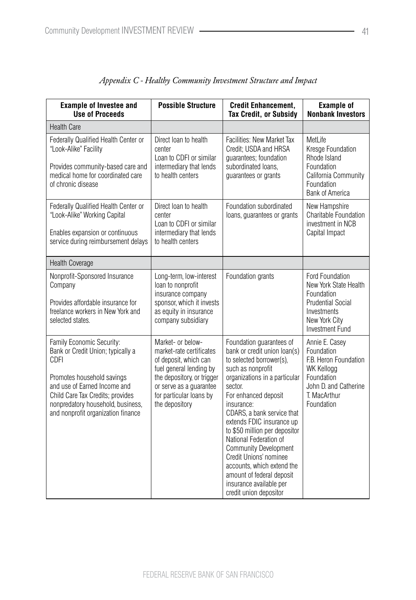| <b>Example of Investee and</b><br><b>Use of Proceeds</b>                                                                                                                                                                                            | <b>Possible Structure</b>                                                                                                                                                                               | <b>Credit Enhancement,</b><br><b>Tax Credit, or Subsidy</b>                                                                                                                                                                                                                                                                                                                                                                                                                                 | <b>Example of</b><br><b>Nonbank Investors</b>                                                                                                   |
|-----------------------------------------------------------------------------------------------------------------------------------------------------------------------------------------------------------------------------------------------------|---------------------------------------------------------------------------------------------------------------------------------------------------------------------------------------------------------|---------------------------------------------------------------------------------------------------------------------------------------------------------------------------------------------------------------------------------------------------------------------------------------------------------------------------------------------------------------------------------------------------------------------------------------------------------------------------------------------|-------------------------------------------------------------------------------------------------------------------------------------------------|
| <b>Health Care</b>                                                                                                                                                                                                                                  |                                                                                                                                                                                                         |                                                                                                                                                                                                                                                                                                                                                                                                                                                                                             |                                                                                                                                                 |
| Federally Qualified Health Center or<br>"Look-Alike" Facility<br>Provides community-based care and<br>medical home for coordinated care<br>of chronic disease                                                                                       | Direct loan to health<br>center<br>Loan to CDFI or similar<br>intermediary that lends<br>to health centers                                                                                              | Facilities: New Market Tax<br>Credit; USDA and HRSA<br>guarantees; foundation<br>subordinated loans,<br>guarantees or grants                                                                                                                                                                                                                                                                                                                                                                | MetLife<br>Kresge Foundation<br>Rhode Island<br>Foundation<br>California Community<br>Foundation<br><b>Bank of America</b>                      |
| Federally Qualified Health Center or<br>"Look-Alike" Working Capital<br>Enables expansion or continuous<br>service during reimbursement delays                                                                                                      | Direct loan to health<br>center<br>Loan to CDFI or similar<br>intermediary that lends<br>to health centers                                                                                              | Foundation subordinated<br>loans, guarantees or grants                                                                                                                                                                                                                                                                                                                                                                                                                                      | New Hampshire<br>Charitable Foundation<br>investment in NCB<br>Capital Impact                                                                   |
| Health Coverage                                                                                                                                                                                                                                     |                                                                                                                                                                                                         |                                                                                                                                                                                                                                                                                                                                                                                                                                                                                             |                                                                                                                                                 |
| Nonprofit-Sponsored Insurance<br>Company<br>Provides affordable insurance for<br>freelance workers in New York and<br>selected states.                                                                                                              | Long-term, low-interest<br>loan to nonprofit<br>insurance company<br>sponsor, which it invests<br>as equity in insurance<br>company subsidiary                                                          | Foundation grants                                                                                                                                                                                                                                                                                                                                                                                                                                                                           | Ford Foundation<br>New York State Health<br>Foundation<br><b>Prudential Social</b><br>Investments<br>New York City<br><b>Investment Fund</b>    |
| Family Economic Security:<br>Bank or Credit Union; typically a<br>CDFI<br>Promotes household savings<br>and use of Earned Income and<br>Child Care Tax Credits; provides<br>nonpredatory household, business,<br>and nonprofit organization finance | Market- or below-<br>market-rate certificates<br>of deposit, which can<br>fuel general lending by<br>the depository, or trigger<br>or serve as a guarantee<br>for particular loans by<br>the depository | Foundation guarantees of<br>bank or credit union loan(s)<br>to selected borrower(s),<br>such as nonprofit<br>organizations in a particular<br>sector.<br>For enhanced deposit<br>insurance:<br>CDARS, a bank service that<br>extends FDIC insurance up<br>to \$50 million per depositor<br>National Federation of<br><b>Community Development</b><br>Credit Unions' nominee<br>accounts, which extend the<br>amount of federal deposit<br>insurance available per<br>credit union depositor | Annie E. Casey<br>Foundation<br>F.B. Heron Foundation<br><b>WK Kellogg</b><br>Foundation<br>John D. and Catherine<br>T. MacArthur<br>Foundation |

| Appendix C - Healthy Community Investment Structure and Impact |  |  |  |
|----------------------------------------------------------------|--|--|--|
|                                                                |  |  |  |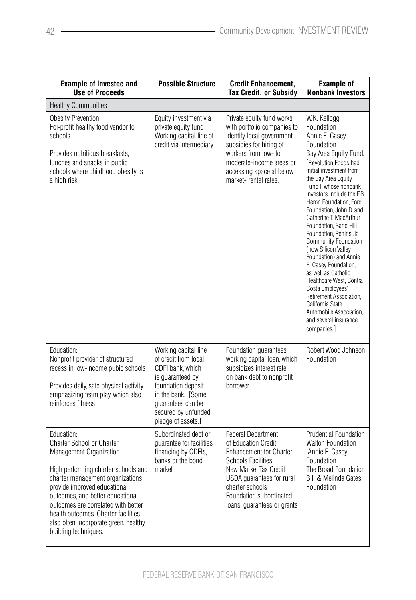| <b>Example of Investee and</b><br><b>Use of Proceeds</b>                                                                                                                                                                                                                                                                                                                | <b>Possible Structure</b>                                                                                                                                                                          | <b>Credit Enhancement,</b><br><b>Tax Credit, or Subsidy</b>                                                                                                                                                                                 | <b>Example of</b><br><b>Nonbank Investors</b>                                                                                                                                                                                                                                                                                                                                                                                                                                                                                                                                                                                                  |
|-------------------------------------------------------------------------------------------------------------------------------------------------------------------------------------------------------------------------------------------------------------------------------------------------------------------------------------------------------------------------|----------------------------------------------------------------------------------------------------------------------------------------------------------------------------------------------------|---------------------------------------------------------------------------------------------------------------------------------------------------------------------------------------------------------------------------------------------|------------------------------------------------------------------------------------------------------------------------------------------------------------------------------------------------------------------------------------------------------------------------------------------------------------------------------------------------------------------------------------------------------------------------------------------------------------------------------------------------------------------------------------------------------------------------------------------------------------------------------------------------|
| <b>Healthy Communities</b>                                                                                                                                                                                                                                                                                                                                              |                                                                                                                                                                                                    |                                                                                                                                                                                                                                             |                                                                                                                                                                                                                                                                                                                                                                                                                                                                                                                                                                                                                                                |
| Obesity Prevention:<br>For-profit healthy food vendor to<br>schools<br>Provides nutritious breakfasts,<br>lunches and snacks in public<br>schools where childhood obesity is<br>a high risk                                                                                                                                                                             | Equity investment via<br>private equity fund<br>Working capital line of<br>credit via intermediary                                                                                                 | Private equity fund works<br>with portfolio companies to<br>identify local government<br>subsidies for hiring of<br>workers from low- to<br>moderate-income areas or<br>accessing space at below<br>market-rental rates.                    | W.K. Kellogg<br>Foundation<br>Annie E. Casey<br>Foundation<br>Bay Area Equity Fund.<br>[Revolution Foods had<br>initial investment from<br>the Bay Area Equity<br>Fund I. whose nonbank<br>investors include the F.B.<br>Heron Foundation, Ford<br>Foundation, John D. and<br>Catherine T. MacArthur<br>Foundation, Sand Hill<br>Foundation, Peninsula<br>Community Foundation<br>(now Silicon Valley<br>Foundation) and Annie<br>E. Casey Foundation,<br>as well as Catholic<br>Healthcare West, Contra<br>Costa Employees'<br>Retirement Association,<br>California State<br>Automobile Association,<br>and several insurance<br>companies.] |
| Education:<br>Nonprofit provider of structured<br>recess in low-income pubic schools<br>Provides daily, safe physical activity<br>emphasizing team play, which also<br>reinforces fitness                                                                                                                                                                               | Working capital line<br>of credit from local<br>CDFI bank, which<br>is guaranteed by<br>foundation deposit<br>in the bank. [Some<br>guarantees can be<br>secured by unfunded<br>pledge of assets.] | Foundation guarantees<br>working capital loan, which<br>subsidizes interest rate<br>on bank debt to nonprofit<br>borrower                                                                                                                   | Robert Wood Johnson<br>Foundation                                                                                                                                                                                                                                                                                                                                                                                                                                                                                                                                                                                                              |
| Education:<br><b>Charter School or Charter</b><br>Management Organization<br>High performing charter schools and<br>charter management organizations<br>provide improved educational<br>outcomes, and better educational<br>outcomes are correlated with better<br>health outcomes. Charter facilities<br>also often incorporate green, healthy<br>building techniques. | Subordinated debt or<br>guarantee for facilities<br>financing by CDFIs,<br>banks or the bond<br>market                                                                                             | <b>Federal Department</b><br>of Education Credit<br><b>Enhancement for Charter</b><br>Schools Facilities<br>New Market Tax Credit<br>USDA guarantees for rural<br>charter schools<br>Foundation subordinated<br>loans, guarantees or grants | Prudential Foundation<br><b>Walton Foundation</b><br>Annie E. Casey<br>Foundation<br>The Broad Foundation<br><b>Bill &amp; Melinda Gates</b><br>Foundation                                                                                                                                                                                                                                                                                                                                                                                                                                                                                     |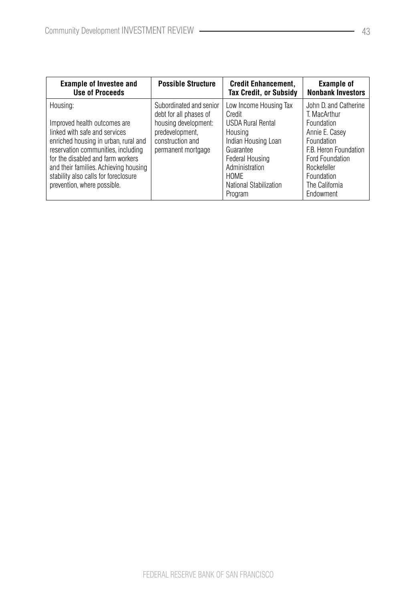| <b>Example of Investee and</b>                                                                                                                                                                                                                                                                               | <b>Possible Structure</b>                                                                                                              | <b>Credit Enhancement.</b>                                                                                                                                                                                  | <b>Example of</b>                                                                                                                                                                                  |
|--------------------------------------------------------------------------------------------------------------------------------------------------------------------------------------------------------------------------------------------------------------------------------------------------------------|----------------------------------------------------------------------------------------------------------------------------------------|-------------------------------------------------------------------------------------------------------------------------------------------------------------------------------------------------------------|----------------------------------------------------------------------------------------------------------------------------------------------------------------------------------------------------|
| <b>Use of Proceeds</b>                                                                                                                                                                                                                                                                                       |                                                                                                                                        | <b>Tax Credit, or Subsidy</b>                                                                                                                                                                               | <b>Nonbank Investors</b>                                                                                                                                                                           |
| Housing:<br>Improved health outcomes are<br>linked with safe and services<br>enriched housing in urban, rural and<br>reservation communities, including<br>for the disabled and farm workers<br>and their families. Achieving housing<br>stability also calls for foreclosure<br>prevention, where possible. | Subordinated and senior<br>debt for all phases of<br>housing development:<br>predevelopment,<br>construction and<br>permanent mortgage | Low Income Housing Tax<br>Credit<br><b>USDA Rural Rental</b><br>Housing<br>Indian Housing Loan<br>Guarantee<br>Federal Housing<br>Administration<br><b>HOMF</b><br><b>National Stabilization</b><br>Program | John D. and Catherine<br>T. MacArthur<br>Foundation<br>Annie E. Casey<br>Foundation<br>F.B. Heron Foundation<br><b>Ford Foundation</b><br>Rockefeller<br>Foundation<br>The California<br>Endowment |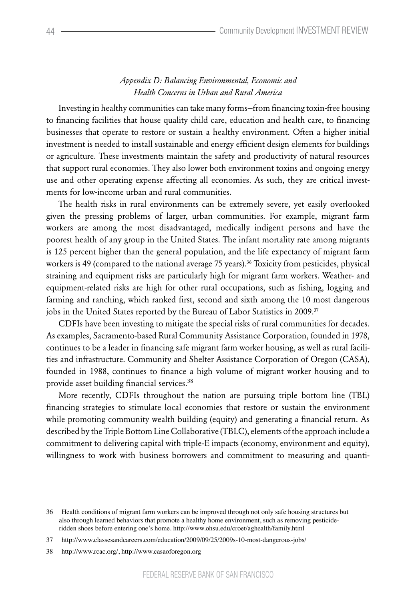#### *Appendix D: Balancing Environmental, Economic and Health Concerns in Urban and Rural America*

Investing in healthy communities can take many forms—from financing toxin-free housing to financing facilities that house quality child care, education and health care, to financing businesses that operate to restore or sustain a healthy environment. Often a higher initial investment is needed to install sustainable and energy efficient design elements for buildings or agriculture. These investments maintain the safety and productivity of natural resources that support rural economies. They also lower both environment toxins and ongoing energy use and other operating expense affecting all economies. As such, they are critical investments for low-income urban and rural communities.

The health risks in rural environments can be extremely severe, yet easily overlooked given the pressing problems of larger, urban communities. For example, migrant farm workers are among the most disadvantaged, medically indigent persons and have the poorest health of any group in the United States. The infant mortality rate among migrants is 125 percent higher than the general population, and the life expectancy of migrant farm workers is 49 (compared to the national average 75 years).<sup>36</sup> Toxicity from pesticides, physical straining and equipment risks are particularly high for migrant farm workers. Weather- and equipment-related risks are high for other rural occupations, such as fishing, logging and farming and ranching, which ranked first, second and sixth among the 10 most dangerous jobs in the United States reported by the Bureau of Labor Statistics in 2009.<sup>37</sup>

CDFIs have been investing to mitigate the special risks of rural communities for decades. As examples, Sacramento-based Rural Community Assistance Corporation, founded in 1978, continues to be a leader in financing safe migrant farm worker housing, as well as rural facilities and infrastructure. Community and Shelter Assistance Corporation of Oregon (CASA), founded in 1988, continues to finance a high volume of migrant worker housing and to provide asset building financial services.<sup>38</sup>

More recently, CDFIs throughout the nation are pursuing triple bottom line (TBL) financing strategies to stimulate local economies that restore or sustain the environment while promoting community wealth building (equity) and generating a financial return. As described by the Triple Bottom Line Collaborative (TBLC), elements of the approach include a commitment to delivering capital with triple-E impacts (economy, environment and equity), willingness to work with business borrowers and commitment to measuring and quanti-

<sup>36</sup> Health conditions of migrant farm workers can be improved through not only safe housing structures but also through learned behaviors that promote a healthy home environment, such as removing pesticideridden shoes before entering one's home. http://www.ohsu.edu/croet/aghealth/family.html

<sup>37</sup> http://www.classesandcareers.com/education/2009/09/25/2009s-10-most-dangerous-jobs/

<sup>38</sup> http://www.rcac.org/, http://www.casaoforegon.org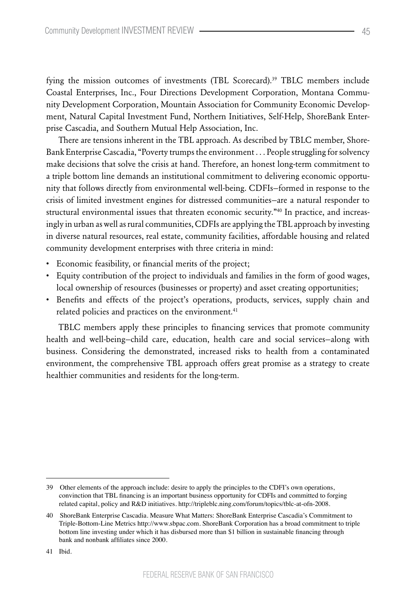fying the mission outcomes of investments (TBL Scorecard).39 TBLC members include Coastal Enterprises, Inc., Four Directions Development Corporation, Montana Community Development Corporation, Mountain Association for Community Economic Development, Natural Capital Investment Fund, Northern Initiatives, Self-Help, ShoreBank Enterprise Cascadia, and Southern Mutual Help Association, Inc.

There are tensions inherent in the TBL approach. As described by TBLC member, Shore-Bank Enterprise Cascadia, "Poverty trumps the environment . . . People struggling for solvency make decisions that solve the crisis at hand. Therefore, an honest long-term commitment to a triple bottom line demands an institutional commitment to delivering economic opportunity that follows directly from environmental well-being. CDFIs—formed in response to the crisis of limited investment engines for distressed communities—are a natural responder to structural environmental issues that threaten economic security."40 In practice, and increasingly in urban as well as rural communities, CDFIs are applying the TBL approach by investing in diverse natural resources, real estate, community facilities, affordable housing and related community development enterprises with three criteria in mind:

- • Economic feasibility, or financial merits of the project;
- • Equity contribution of the project to individuals and families in the form of good wages, local ownership of resources (businesses or property) and asset creating opportunities;
- • Benefits and effects of the project's operations, products, services, supply chain and related policies and practices on the environment.<sup>41</sup>

TBLC members apply these principles to financing services that promote community health and well-being—child care, education, health care and social services—along with business. Considering the demonstrated, increased risks to health from a contaminated environment, the comprehensive TBL approach offers great promise as a strategy to create healthier communities and residents for the long-term.

41 Ibid.

<sup>39</sup> Other elements of the approach include: desire to apply the principles to the CDFI's own operations, convinction that TBL financing is an important business opportunity for CDFIs and committed to forging related capital, policy and R&D initiatives. http://tripleblc.ning.com/forum/topics/tblc-at-ofn-2008.

<sup>40</sup> ShoreBank Enterprise Cascadia. Measure What Matters: ShoreBank Enterprise Cascadia's Commitment to Triple-Bottom-Line Metrics http://www.sbpac.com. ShoreBank Corporation has a broad commitment to triple bottom line investing under which it has disbursed more than \$1 billion in sustainable financing through bank and nonbank affiliates since 2000.